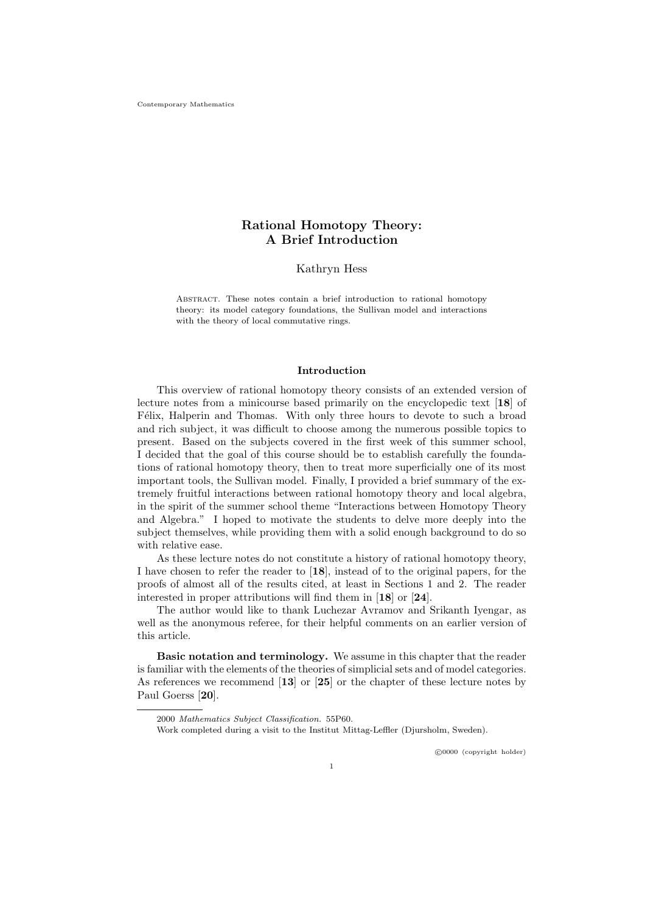Contemporary Mathematics

# Rational Homotopy Theory: A Brief Introduction

Kathryn Hess

Abstract. These notes contain a brief introduction to rational homotopy theory: its model category foundations, the Sullivan model and interactions with the theory of local commutative rings.

### Introduction

This overview of rational homotopy theory consists of an extended version of lecture notes from a minicourse based primarily on the encyclopedic text [18] of Félix, Halperin and Thomas. With only three hours to devote to such a broad and rich subject, it was difficult to choose among the numerous possible topics to present. Based on the subjects covered in the first week of this summer school, I decided that the goal of this course should be to establish carefully the foundations of rational homotopy theory, then to treat more superficially one of its most important tools, the Sullivan model. Finally, I provided a brief summary of the extremely fruitful interactions between rational homotopy theory and local algebra, in the spirit of the summer school theme "Interactions between Homotopy Theory and Algebra." I hoped to motivate the students to delve more deeply into the subject themselves, while providing them with a solid enough background to do so with relative ease.

As these lecture notes do not constitute a history of rational homotopy theory, I have chosen to refer the reader to [18], instead of to the original papers, for the proofs of almost all of the results cited, at least in Sections 1 and 2. The reader interested in proper attributions will find them in [18] or [24].

The author would like to thank Luchezar Avramov and Srikanth Iyengar, as well as the anonymous referee, for their helpful comments on an earlier version of this article.

Basic notation and terminology. We assume in this chapter that the reader is familiar with the elements of the theories of simplicial sets and of model categories. As references we recommend [13] or [25] or the chapter of these lecture notes by Paul Goerss [20].

c 0000 (copyright holder)

<sup>2000</sup> Mathematics Subject Classification. 55P60.

Work completed during a visit to the Institut Mittag-Leffler (Djursholm, Sweden).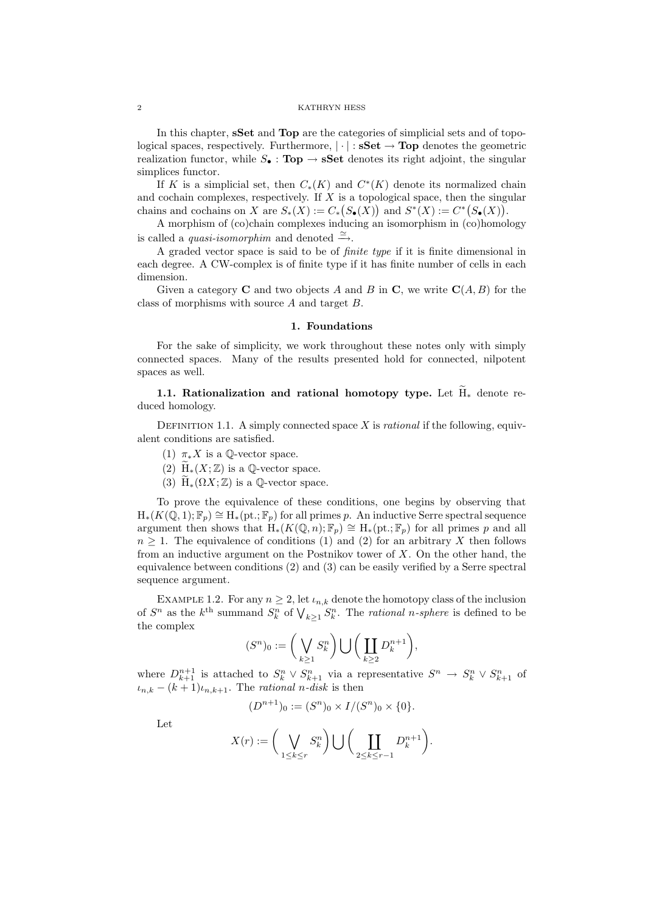In this chapter, sSet and Top are the categories of simplicial sets and of topological spaces, respectively. Furthermore,  $|\cdot|$ :  $\bf sSet \rightarrow Top$  denotes the geometric realization functor, while  $S_{\bullet}$ : Top  $\rightarrow$  sSet denotes its right adjoint, the singular simplices functor.

If K is a simplicial set, then  $C_*(K)$  and  $C^*(K)$  denote its normalized chain and cochain complexes, respectively. If  $X$  is a topological space, then the singular chains and cochains on X are  $S_*(X) := C_*(S_{\bullet}(X))$  and  $S^*(X) := C^*(S_{\bullet}(X))$ .

A morphism of (co)chain complexes inducing an isomorphism in (co)homology is called a *quasi-isomorphim* and denoted  $\cong$ .

A graded vector space is said to be of finite type if it is finite dimensional in each degree. A CW-complex is of finite type if it has finite number of cells in each dimension.

Given a category **C** and two objects A and B in **C**, we write  $C(A, B)$  for the class of morphisms with source A and target B.

# 1. Foundations

For the sake of simplicity, we work throughout these notes only with simply connected spaces. Many of the results presented hold for connected, nilpotent spaces as well.

1.1. Rationalization and rational homotopy type. Let  $\widetilde{H}_*$  denote reduced homology.

DEFINITION 1.1. A simply connected space X is *rational* if the following, equivalent conditions are satisfied.

- (1)  $\pi_* X$  is a  $\mathbb{Q}\text{-vector space.}$
- (2)  $\widetilde{H}_*(X;\mathbb{Z})$  is a Q-vector space.
- (3)  $H_*(\Omega X;\mathbb{Z})$  is a  $\mathbb{Q}\text{-vector space}.$

To prove the equivalence of these conditions, one begins by observing that  $H_*(K(\mathbb{Q},1); \mathbb{F}_p) \cong H_*(pt.; \mathbb{F}_p)$  for all primes p. An inductive Serre spectral sequence argument then shows that  $H_*(K(\mathbb{Q}, n); \mathbb{F}_p) \cong H_*(pt; \mathbb{F}_p)$  for all primes p and all  $n \geq 1$ . The equivalence of conditions (1) and (2) for an arbitrary X then follows from an inductive argument on the Postnikov tower of  $X$ . On the other hand, the equivalence between conditions (2) and (3) can be easily verified by a Serre spectral sequence argument.

EXAMPLE 1.2. For any  $n \geq 2$ , let  $\iota_{n,k}$  denote the homotopy class of the inclusion of  $S^n$  as the  $k^{\text{th}}$  summand  $S_k^n$  of  $\bigvee_{k\geq 1} S_k^n$ . The *rational n-sphere* is defined to be the complex

$$
(S^n)_0:=\bigg(\bigvee_{k\geq 1}S^n_k\bigg)\bigcup\bigg(\coprod_{k\geq 2}D^{n+1}_k\bigg),
$$

where  $D_{k+1}^{n+1}$  is attached to  $S_k^n \vee S_{k+1}^n$  via a representative  $S^n \to S_k^n \vee S_{k+1}^n$  of  $u_{n,k} - (k+1)u_{n,k+1}$ . The *rational n*-disk is then

$$
(D^{n+1})_0 := (S^n)_0 \times I/(S^n)_0 \times \{0\}.
$$

Let

$$
X(r):=\bigg(\bigvee_{1\leq k\leq r}S_k^n\bigg)\bigcup\bigg(\coprod_{2\leq k\leq r-1}D_k^{n+1}\bigg).
$$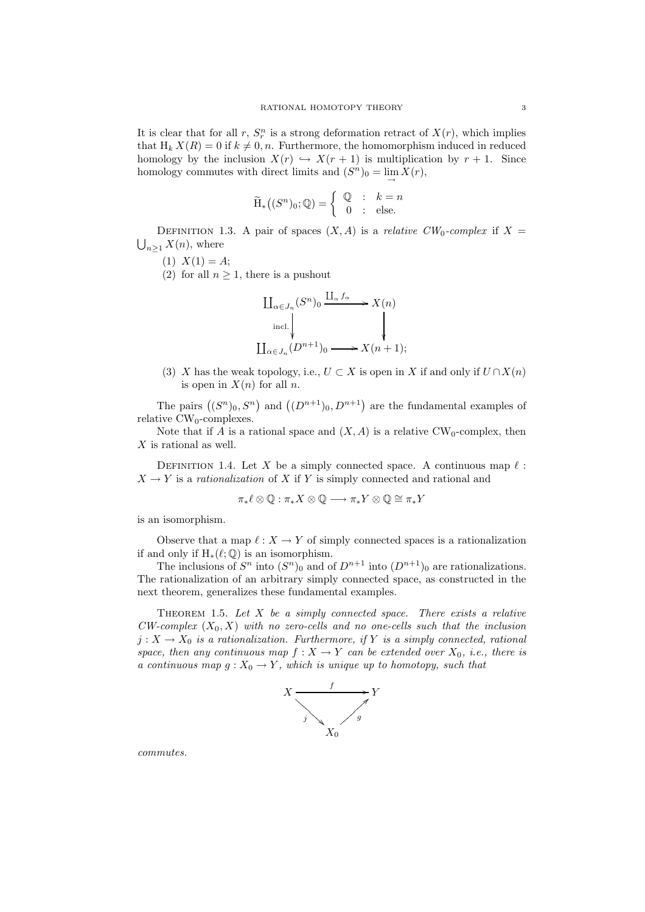It is clear that for all r,  $S_r^n$  is a strong deformation retract of  $X(r)$ , which implies that  $H_k X(R) = 0$  if  $k \neq 0, n$ . Furthermore, the homomorphism induced in reduced homology by the inclusion  $X(r) \hookrightarrow X(r + 1)$  is multiplication by  $r + 1$ . Since homology commutes with direct limits and  $(S^n)_0 = \lim_{\rightarrow} X(r)$ ,

$$
\widetilde{\mathrm{H}}_{*}\big((S^{n})_{0};\mathbb{Q}\big)=\left\{\begin{array}{rcl} \mathbb{Q} & ; & k=n \\ 0 & ; & \mathrm{else}. \end{array}\right.
$$

DEFINITION 1.3. A pair of spaces  $(X, A)$  is a *relative CW*<sub>0</sub>-complex if  $X =$  $\bigcup_{n>1} X(n)$ , where

 $(1)$   $X(1) = A;$ 

(2) for all  $n \geq 1$ , there is a pushout



(3) X has the weak topology, i.e.,  $U \subset X$  is open in X if and only if  $U \cap X(n)$ is open in  $X(n)$  for all n.

The pairs  $((S^n)_0, S^n)$  and  $((D^{n+1})_0, D^{n+1})$  are the fundamental examples of relative  $CW_0$ -complexes.

Note that if A is a rational space and  $(X, A)$  is a relative CW<sub>0</sub>-complex, then  $X$  is rational as well.

DEFINITION 1.4. Let X be a simply connected space. A continuous map  $\ell$ :  $X \to Y$  is a *rationalization* of X if Y is simply connected and rational and

$$
\pi_*\ell\otimes\mathbb{Q}:\pi_*X\otimes\mathbb{Q}\longrightarrow \pi_*Y\otimes\mathbb{Q}\cong \pi_*Y
$$

is an isomorphism.

Observe that a map  $\ell: X \to Y$  of simply connected spaces is a rationalization if and only if  $H_*(\ell;\mathbb{Q})$  is an isomorphism.

The inclusions of  $S<sup>n</sup>$  into  $(S<sup>n</sup>)<sub>0</sub>$  and of  $D<sup>n+1</sup>$  into  $(D<sup>n+1</sup>)<sub>0</sub>$  are rationalizations. The rationalization of an arbitrary simply connected space, as constructed in the next theorem, generalizes these fundamental examples.

THEOREM 1.5. Let  $X$  be a simply connected space. There exists a relative  $CW\text{-}complex (X_0, X)$  with no zero-cells and no one-cells such that the inclusion  $j: X \to X_0$  is a rationalization. Furthermore, if Y is a simply connected, rational space, then any continuous map  $f : X \to Y$  can be extended over  $X_0$ , i.e., there is a continuous map  $g: X_0 \to Y$ , which is unique up to homotopy, such that



commutes.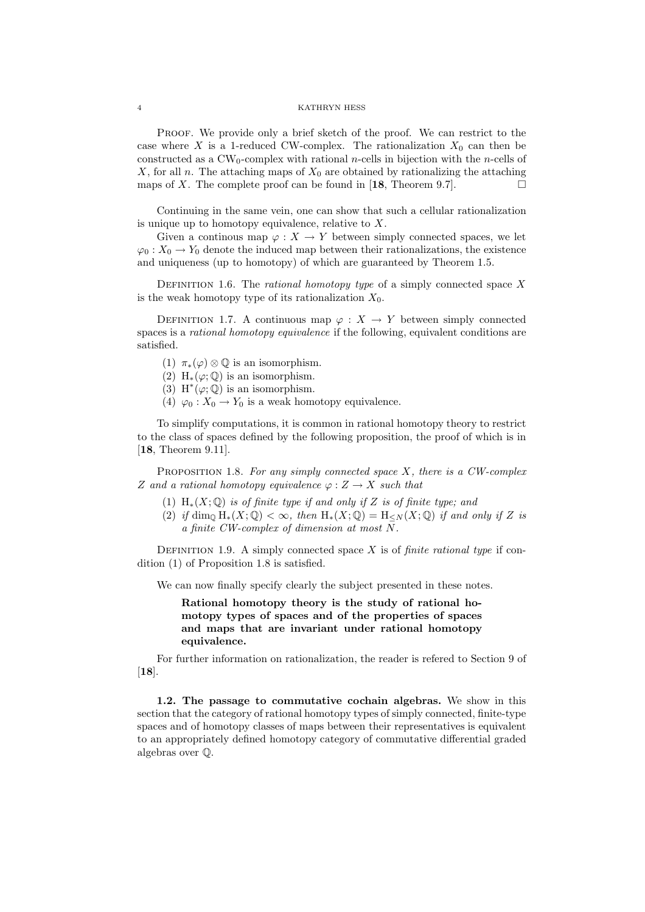Proof. We provide only a brief sketch of the proof. We can restrict to the case where X is a 1-reduced CW-complex. The rationalization  $X_0$  can then be constructed as a  $CW_0$ -complex with rational *n*-cells in bijection with the *n*-cells of X, for all n. The attaching maps of  $X_0$  are obtained by rationalizing the attaching maps of X. The complete proof can be found in  $[18,$  Theorem 9.7].

Continuing in the same vein, one can show that such a cellular rationalization is unique up to homotopy equivalence, relative to  $X$ .

Given a continuous map  $\varphi: X \to Y$  between simply connected spaces, we let  $\varphi_0: X_0 \to Y_0$  denote the induced map between their rationalizations, the existence and uniqueness (up to homotopy) of which are guaranteed by Theorem 1.5.

DEFINITION 1.6. The *rational homotopy type* of a simply connected space  $X$ is the weak homotopy type of its rationalization  $X_0$ .

DEFINITION 1.7. A continuous map  $\varphi: X \to Y$  between simply connected spaces is a *rational homotopy equivalence* if the following, equivalent conditions are satisfied.

- (1)  $\pi_*(\varphi) \otimes \mathbb{Q}$  is an isomorphism.
- (2) H<sub>\*</sub>( $\varphi$ ;  $\mathbb{Q}$ ) is an isomorphism.
- (3) H<sup>\*</sup>( $\varphi$ ; Q) is an isomorphism.
- (4)  $\varphi_0: X_0 \to Y_0$  is a weak homotopy equivalence.

To simplify computations, it is common in rational homotopy theory to restrict to the class of spaces defined by the following proposition, the proof of which is in [18, Theorem 9.11].

PROPOSITION 1.8. For any simply connected space  $X$ , there is a CW-complex Z and a rational homotopy equivalence  $\varphi: Z \to X$  such that

- (1)  $H_*(X; \mathbb{Q})$  is of finite type if and only if Z is of finite type; and
- (2) if dim<sub>0</sub>  $H_*(X; \mathbb{Q}) < \infty$ , then  $H_*(X; \mathbb{Q}) = H_{\leq N}(X; \mathbb{Q})$  if and only if Z is a finite CW-complex of dimension at most N.

DEFINITION 1.9. A simply connected space  $X$  is of *finite rational type* if condition (1) of Proposition 1.8 is satisfied.

We can now finally specify clearly the subject presented in these notes.

Rational homotopy theory is the study of rational homotopy types of spaces and of the properties of spaces and maps that are invariant under rational homotopy equivalence.

For further information on rationalization, the reader is refered to Section 9 of [18].

1.2. The passage to commutative cochain algebras. We show in this section that the category of rational homotopy types of simply connected, finite-type spaces and of homotopy classes of maps between their representatives is equivalent to an appropriately defined homotopy category of commutative differential graded algebras over Q.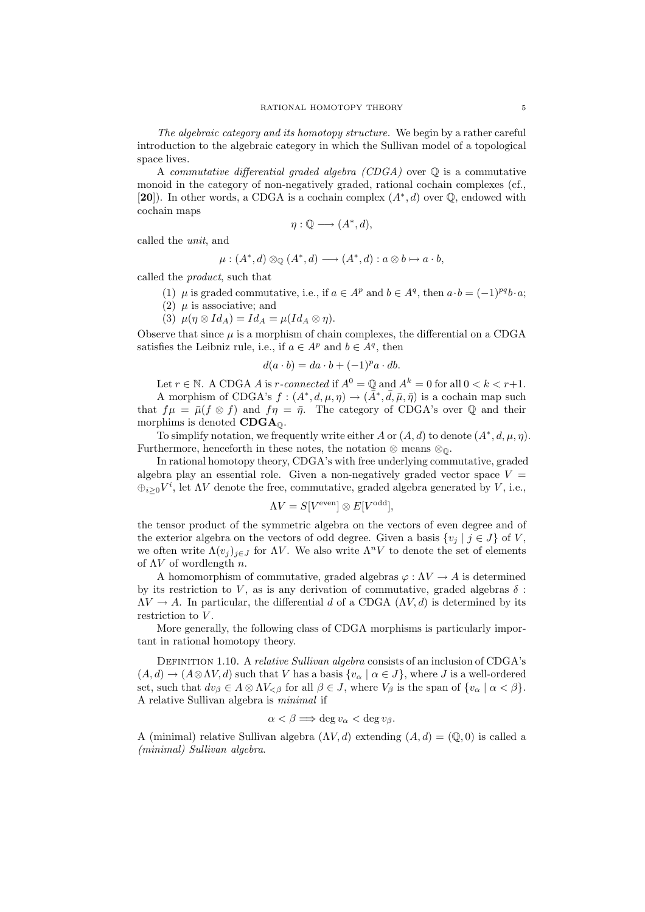The algebraic category and its homotopy structure. We begin by a rather careful introduction to the algebraic category in which the Sullivan model of a topological space lives.

A commutative differential graded algebra  $(CDGA)$  over  $\mathbb Q$  is a commutative monoid in the category of non-negatively graded, rational cochain complexes (cf., [20]). In other words, a CDGA is a cochain complex  $(A^*, d)$  over  $\mathbb{Q}$ , endowed with cochain maps

$$
\eta:\mathbb{Q}\longrightarrow (A^*,d),
$$

called the unit, and

$$
\mu: (A^*, d) \otimes_{\mathbb{Q}} (A^*, d) \longrightarrow (A^*, d) : a \otimes b \mapsto a \cdot b,
$$

called the product, such that

- (1)  $\mu$  is graded commutative, i.e., if  $a \in A^p$  and  $b \in A^q$ , then  $a \cdot b = (-1)^{pq} b \cdot a$ ;
- (2)  $\mu$  is associative; and
- (3)  $\mu(\eta \otimes Id_A) = Id_A = \mu(Id_A \otimes \eta).$

Observe that since  $\mu$  is a morphism of chain complexes, the differential on a CDGA satisfies the Leibniz rule, i.e., if  $a \in A^p$  and  $b \in A^q$ , then

$$
d(a \cdot b) = da \cdot b + (-1)^p a \cdot db.
$$

Let  $r \in \mathbb{N}$ . A CDGA A is r-connected if  $A^0 = \mathbb{Q}$  and  $A^k = 0$  for all  $0 < k < r+1$ . A morphism of CDGA's  $f:(A^*,d,\mu,\eta) \to (\bar{A}^*,\bar{d},\bar{\mu},\bar{\eta})$  is a cochain map such that  $f\mu = \bar{\mu}(f \otimes f)$  and  $f\eta = \bar{\eta}$ . The category of CDGA's over Q and their morphims is denoted  $CDGA<sub>0</sub>$ .

To simplify notation, we frequently write either A or  $(A, d)$  to denote  $(A^*, d, \mu, \eta)$ . Furthermore, henceforth in these notes, the notation  $\otimes$  means  $\otimes_{\mathbb{Q}}$ .

In rational homotopy theory, CDGA's with free underlying commutative, graded algebra play an essential role. Given a non-negatively graded vector space  $V =$  $\bigoplus_{i\geq 0} V^i$ , let  $\Lambda V$  denote the free, commutative, graded algebra generated by V, i.e.,

$$
\Lambda V = S[V^{\text{even}}] \otimes E[V^{\text{odd}}],
$$

the tensor product of the symmetric algebra on the vectors of even degree and of the exterior algebra on the vectors of odd degree. Given a basis  $\{v_j \mid j \in J\}$  of V, we often write  $\Lambda(v_i)_{i\in J}$  for  $\Lambda V$ . We also write  $\Lambda^n V$  to denote the set of elements of  $\Lambda V$  of wordlength n.

A homomorphism of commutative, graded algebras  $\varphi : \Lambda V \to A$  is determined by its restriction to V, as is any derivation of commutative, graded algebras  $\delta$ :  $\Lambda V \to A$ . In particular, the differential d of a CDGA ( $\Lambda V, d$ ) is determined by its restriction to V.

More generally, the following class of CDGA morphisms is particularly important in rational homotopy theory.

DEFINITION 1.10. A relative Sullivan algebra consists of an inclusion of CDGA's  $(A, d) \rightarrow (A \otimes \Lambda V, d)$  such that V has a basis  $\{v_\alpha \mid \alpha \in J\}$ , where J is a well-ordered set, such that  $dv_{\beta} \in A \otimes \Lambda V_{\leq \beta}$  for all  $\beta \in J$ , where  $V_{\beta}$  is the span of  $\{v_{\alpha} \mid \alpha < \beta\}$ . A relative Sullivan algebra is minimal if

$$
\alpha < \beta \Longrightarrow \deg v_{\alpha} < \deg v_{\beta}.
$$

A (minimal) relative Sullivan algebra  $(\Lambda V, d)$  extending  $(A, d) = (\mathbb{Q}, 0)$  is called a (minimal) Sullivan algebra.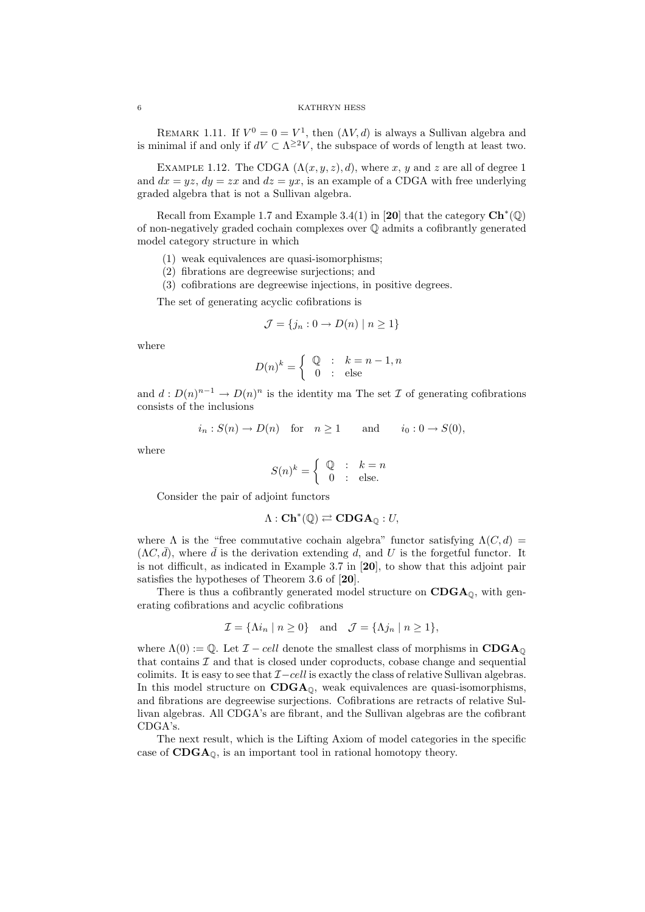REMARK 1.11. If  $V^0 = 0 = V^1$ , then  $(\Lambda V, d)$  is always a Sullivan algebra and is minimal if and only if  $dV \subset \Lambda^{\geq 2}V$ , the subspace of words of length at least two.

EXAMPLE 1.12. The CDGA  $(\Lambda(x, y, z), d)$ , where x, y and z are all of degree 1 and  $dx = yz$ ,  $dy = zx$  and  $dz = yx$ , is an example of a CDGA with free underlying graded algebra that is not a Sullivan algebra.

Recall from Example 1.7 and Example 3.4(1) in [20] that the category  $\mathbf{Ch}^*(\mathbb{Q})$ of non-negatively graded cochain complexes over Q admits a cofibrantly generated model category structure in which

- (1) weak equivalences are quasi-isomorphisms;
- (2) fibrations are degreewise surjections; and
- (3) cofibrations are degreewise injections, in positive degrees.

The set of generating acyclic cofibrations is

$$
\mathcal{J} = \{j_n : 0 \to D(n) \mid n \ge 1\}
$$

where

$$
D(n)^k = \begin{cases} \mathbb{Q} & \colon & k = n-1, n \\ 0 & \colon & \text{else} \end{cases}
$$

and  $d: D(n)^{n-1} \to D(n)^n$  is the identity ma The set  $\mathcal I$  of generating cofibrations consists of the inclusions

$$
i_n: S(n) \to D(n)
$$
 for  $n \ge 1$  and  $i_0: 0 \to S(0)$ ,

where

$$
S(n)^k = \begin{cases} \mathbb{Q} & \colon & k = n \\ 0 & \colon & \text{else.} \end{cases}
$$

Consider the pair of adjoint functors

$$
\Lambda: \mathbf{Ch}^*(\mathbb{Q}) \rightleftarrows \mathbf{CDGA}_{\mathbb{Q}}: U,
$$

where  $\Lambda$  is the "free commutative cochain algebra" functor satisfying  $\Lambda(C, d)$  =  $(\Lambda C, \bar{d})$ , where  $\bar{d}$  is the derivation extending d, and U is the forgetful functor. It is not difficult, as indicated in Example 3.7 in [20], to show that this adjoint pair satisfies the hypotheses of Theorem 3.6 of [20].

There is thus a cofibrantly generated model structure on  $CDGA_{\odot}$ , with generating cofibrations and acyclic cofibrations

$$
\mathcal{I} = \{ \Lambda i_n \mid n \ge 0 \} \quad \text{and} \quad \mathcal{J} = \{ \Lambda j_n \mid n \ge 1 \},
$$

where  $\Lambda(0) := \mathbb{Q}$ . Let  $\mathcal{I} - cell$  denote the smallest class of morphisms in CDGA<sub>0</sub> that contains  $\mathcal I$  and that is closed under coproducts, cobase change and sequential colimits. It is easy to see that  $\mathcal{I}-cell$  is exactly the class of relative Sullivan algebras. In this model structure on  $CDGA_{\mathbb{Q}}$ , weak equivalences are quasi-isomorphisms, and fibrations are degreewise surjections. Cofibrations are retracts of relative Sullivan algebras. All CDGA's are fibrant, and the Sullivan algebras are the cofibrant CDGA's.

The next result, which is the Lifting Axiom of model categories in the specific case of  $CDGA<sub>0</sub>$ , is an important tool in rational homotopy theory.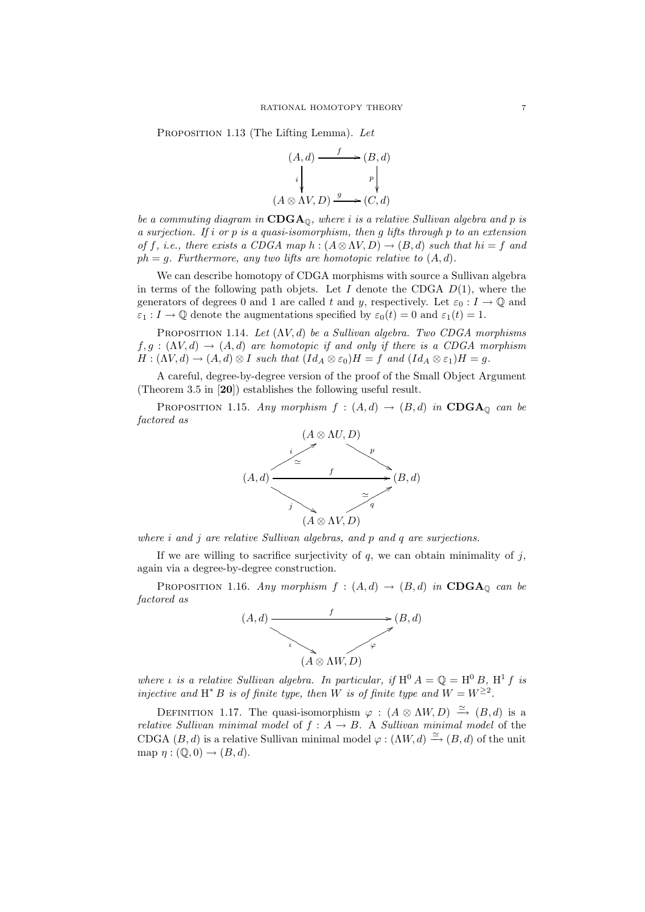PROPOSITION 1.13 (The Lifting Lemma). Let

$$
(A,d) \xrightarrow{f} (B,d)
$$

$$
i \downarrow \qquad \qquad p \downarrow
$$

$$
(A \otimes \Lambda V, D) \xrightarrow{g} (C,d)
$$

be a commuting diagram in  $CDGA_0$ , where i is a relative Sullivan algebra and p is a surjection. If i or p is a quasi-isomorphism, then q lifts through p to an extension of f, i.e., there exists a CDGA map h :  $(A \otimes \Lambda V, D) \rightarrow (B, d)$  such that  $hi = f$  and  $ph = q$ . Furthermore, any two lifts are homotopic relative to  $(A, d)$ .

We can describe homotopy of CDGA morphisms with source a Sullivan algebra in terms of the following path objets. Let I denote the CDGA  $D(1)$ , where the generators of degrees 0 and 1 are called t and y, respectively. Let  $\varepsilon_0 : I \to \mathbb{Q}$  and  $\varepsilon_1 : I \to \mathbb{Q}$  denote the augmentations specified by  $\varepsilon_0(t) = 0$  and  $\varepsilon_1(t) = 1$ .

PROPOSITION 1.14. Let  $(\Lambda V, d)$  be a Sullivan algebra. Two CDGA morphisms  $f, g : (\Lambda V, d) \to (A, d)$  are homotopic if and only if there is a CDGA morphism  $H: (\Lambda V, d) \to (A, d) \otimes I$  such that  $(Id_A \otimes \varepsilon_0)H = f$  and  $(Id_A \otimes \varepsilon_1)H = g$ .

A careful, degree-by-degree version of the proof of the Small Object Argument (Theorem 3.5 in [20]) establishes the following useful result.

PROPOSITION 1.15. Any morphism  $f : (A, d) \rightarrow (B, d)$  in CDGA<sub>Q</sub> can be factored as



where *i* and *j* are relative Sullivan algebras, and *p* and *q* are surjections.

If we are willing to sacrifice surjectivity of  $q$ , we can obtain minimality of  $j$ , again via a degree-by-degree construction.

PROPOSITION 1.16. Any morphism  $f : (A,d) \rightarrow (B,d)$  in CDGA<sub>Q</sub> can be factored as



where *ι* is a relative Sullivan algebra. In particular, if  $H^0 A = Q = H^0 B$ ,  $H^1 f$  is injective and H<sup>\*</sup> B is of finite type, then W is of finite type and  $W = W^{\geq 2}$ .

DEFINITION 1.17. The quasi-isomorphism  $\varphi : (A \otimes \Lambda W, D) \stackrel{\simeq}{\to} (B, d)$  is a relative Sullivan minimal model of  $f : A \rightarrow B$ . A Sullivan minimal model of the CDGA  $(B, d)$  is a relative Sullivan minimal model  $\varphi : (\Lambda W, d) \xrightarrow{\simeq} (B, d)$  of the unit map  $\eta : (\mathbb{Q}, 0) \to (B, d).$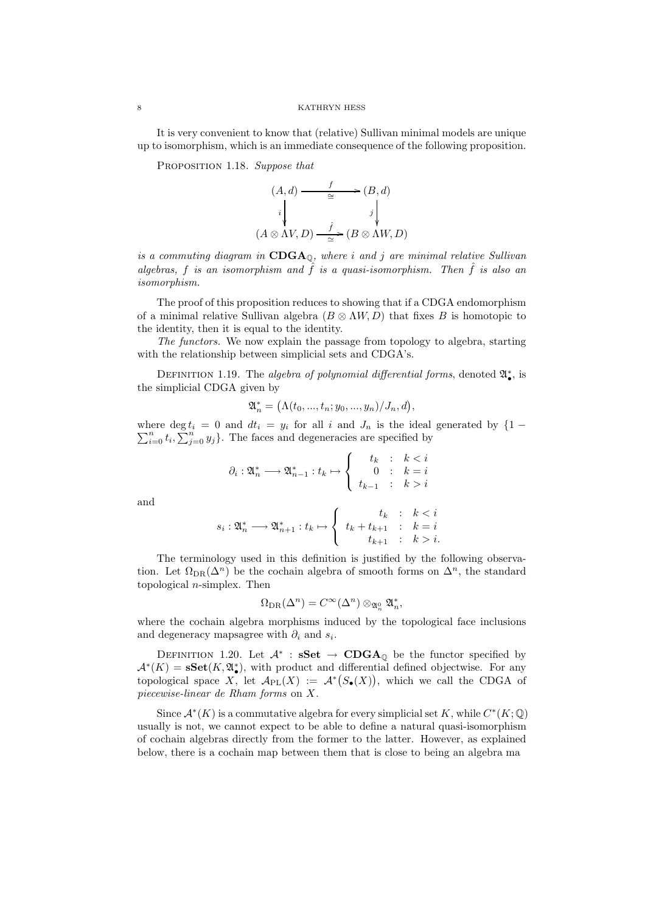It is very convenient to know that (relative) Sullivan minimal models are unique up to isomorphism, which is an immediate consequence of the following proposition.

PROPOSITION 1.18. Suppose that

$$
(A,d) \xrightarrow{\qquad f} (B,d)
$$
  
\n
$$
i \downarrow \qquad j \downarrow
$$
  
\n
$$
(A \otimes \Lambda V, D) \xrightarrow{\qquad f} (B \otimes \Lambda W, D)
$$

is a commuting diagram in  $CDGA_{\text{O}}$ , where i and j are minimal relative Sullivan algebras, f is an isomorphism and  $\hat{f}$  is a quasi-isomorphism. Then  $\hat{f}$  is also an isomorphism.

The proof of this proposition reduces to showing that if a CDGA endomorphism of a minimal relative Sullivan algebra  $(B \otimes \Lambda W, D)$  that fixes B is homotopic to the identity, then it is equal to the identity.

The functors. We now explain the passage from topology to algebra, starting with the relationship between simplicial sets and CDGA's.

DEFINITION 1.19. The algebra of polynomial differential forms, denoted  $\mathfrak{A}^*_{\bullet}$ , is the simplicial CDGA given by

$$
\mathfrak{A}_n^* = (\Lambda(t_0, ..., t_n; y_0, ..., y_n)/J_n, d),
$$

 $\sum$ where deg  $t_i = 0$  and  $dt_i = y_i$  for all i and  $J_n$  is the ideal generated by  $\{1 - \sum_{i=0}^n t_i, \sum_{j=0}^n y_j\}$ . The faces and degeneracies are specified by

$$
\partial_i: \mathfrak{A}_n^* \longrightarrow \mathfrak{A}_{n-1}^*: t_k \mapsto \left\{\begin{array}{rcl} t_k & : & k < i \\ 0 & : & k = i \\ t_{k-1} & : & k > i \end{array}\right.
$$

and

$$
s_i: \mathfrak{A}_n^* \longrightarrow \mathfrak{A}_{n+1}^*: t_k \mapsto \left\{ \begin{array}{rcl} t_k & : & k < i \\ t_k + t_{k+1} & : & k = i \\ & t_{k+1} & : & k > i. \end{array} \right.
$$

The terminology used in this definition is justified by the following observation. Let  $\Omega_{\text{DR}}(\Delta^n)$  be the cochain algebra of smooth forms on  $\Delta^n$ , the standard topological  $n$ -simplex. Then

$$
\Omega_{\operatorname{DR}}(\Delta^n)=C^\infty(\Delta^n)\otimes_{\mathfrak{A}_n^0}\mathfrak{A}_n^*,
$$

where the cochain algebra morphisms induced by the topological face inclusions and degeneracy mapsagree with  $\partial_i$  and  $s_i$ .

DEFINITION 1.20. Let  $\mathcal{A}^*$  :  $sSet \rightarrow CDGA_{\mathbb{Q}}$  be the functor specified by  $\mathcal{A}^*(K) = \mathbf{sSet}(K, \mathfrak{A}_{\bullet}^*)$ , with product and differential defined objectwise. For any topological space X, let  $\mathcal{A}_{PL}(X) := \mathcal{A}^*(S_{\bullet}(X))$ , which we call the CDGA of piecewise-linear de Rham forms on X.

Since  $\mathcal{A}^*(K)$  is a commutative algebra for every simplicial set K, while  $C^*(K; \mathbb{Q})$ usually is not, we cannot expect to be able to define a natural quasi-isomorphism of cochain algebras directly from the former to the latter. However, as explained below, there is a cochain map between them that is close to being an algebra ma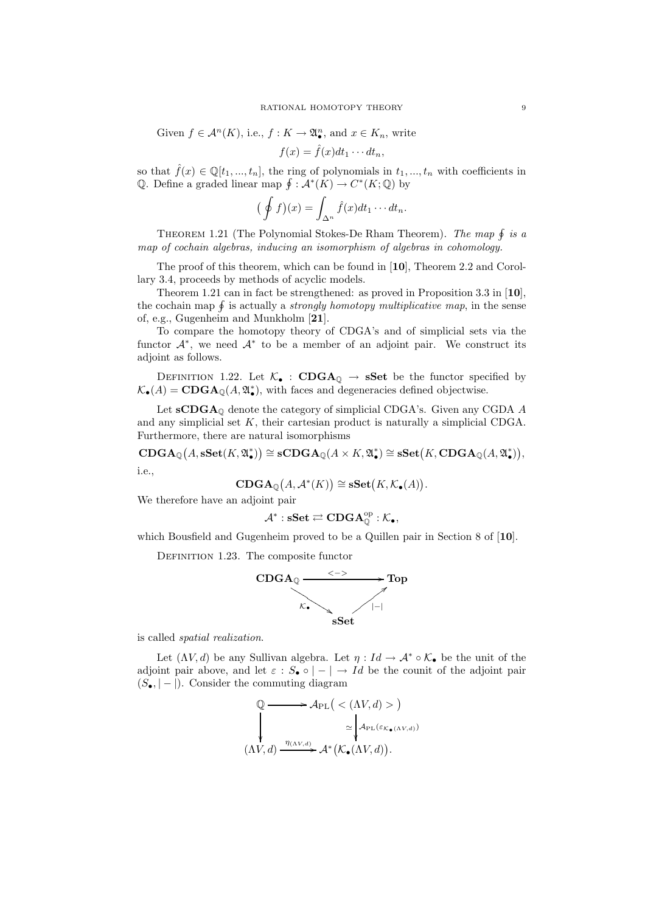Given 
$$
f \in \mathcal{A}^n(K)
$$
, i.e.,  $f: K \to \mathfrak{A}_\bullet^n$ , and  $x \in K_n$ , write

$$
f(x) = \hat{f}(x)dt_1 \cdots dt_n,
$$

so that  $\hat{f}(x) \in \mathbb{Q}[t_1, ..., t_n]$ , the ring of polynomials in  $t_1, ..., t_n$  with coefficients in Q. Define a graded linear map  $\oint : \mathcal{A}^*(K) \to C^*(K; \mathbb{Q})$  by

$$
(\oint f)(x) = \int_{\Delta^n} \hat{f}(x) dt_1 \cdots dt_n.
$$

THEOREM 1.21 (The Polynomial Stokes-De Rham Theorem). The map  $\oint$  is a map of cochain algebras, inducing an isomorphism of algebras in cohomology.

The proof of this theorem, which can be found in [10], Theorem 2.2 and Corollary 3.4, proceeds by methods of acyclic models.

Theorem 1.21 can in fact be strengthened: as proved in Proposition 3.3 in [10], the cochain map  $\oint$  is actually a *strongly homotopy multiplicative map*, in the sense of, e.g., Gugenheim and Munkholm [21].

To compare the homotopy theory of CDGA's and of simplicial sets via the functor  $\mathcal{A}^*$ , we need  $\mathcal{A}^*$  to be a member of an adjoint pair. We construct its adjoint as follows.

DEFINITION 1.22. Let  $\mathcal{K}_{\bullet}$  : CDGA<sub>Q</sub>  $\rightarrow$  sSet be the functor specified by  $\mathcal{K}_{\bullet}(A) = \mathbf{CDGA}_{\mathbb{Q}}(A, \mathfrak{A}_{\bullet}^{*}),$  with faces and degeneracies defined objectwise.

Let  $\mathbf{sCDGA}_{\mathbb{Q}}$  denote the category of simplicial CDGA's. Given any CGDA A and any simplicial set K, their cartesian product is naturally a simplicial CDGA. Furthermore, there are natural isomorphisms

 $\mathbf{CDGA}_{\mathbb{Q}}(A,\mathbf{sSet}(K,\mathfrak{A}_{\bullet}^*))\cong \mathbf{sCDGA}_{\mathbb{Q}}(A\times K,\mathfrak{A}_{\bullet}^*)\cong \mathbf{sSet}\bigl(K,\mathbf{CDGA}_{\mathbb{Q}}(A,\mathfrak{A}_{\bullet}^*)\bigr),$ i.e.,

$$
\mathbf{CDGA}_{\mathbb{Q}}(A, \mathcal{A}^*(K)) \cong \mathbf{sSet}(K, \mathcal{K}_{\bullet}(A)).
$$

We therefore have an adjoint pair

$$
\mathcal{A}^*:\mathbf{sSet}\rightleftarrows\mathbf{CDGA}_{\mathbb{Q}}^{\mathrm{op}}:\mathcal{K}_\bullet,
$$

which Bousfield and Gugenheim proved to be a Quillen pair in Section 8 of [10].

DEFINITION 1.23. The composite functor



is called spatial realization.

Let  $(\Lambda V, d)$  be any Sullivan algebra. Let  $\eta : Id \to \mathcal{A}^* \circ \mathcal{K}$  be the unit of the adjoint pair above, and let  $\varepsilon : S_{\bullet} \circ |-| \to Id$  be the counit of the adjoint pair  $(S_{\bullet}, |-|)$ . Consider the commuting diagram

$$
\mathbb{Q} \longrightarrow \mathcal{A}_{\text{PL}} \big( \langle \Lambda V, d \rangle > \big) \n\longrightarrow \mathcal{A}_{\text{PL}} \big( \varepsilon_{\mathcal{K}_{\bullet}(\Lambda V, d)} \big) \n\sim \mathcal{A}_{\text{PL}} \big( \varepsilon_{\mathcal{K}_{\bullet}(\Lambda V, d)} \big) \n(\Lambda V, d) \xrightarrow{\eta(\Lambda V, d)} \mathcal{A}^* \big( \mathcal{K}_{\bullet}(\Lambda V, d) \big).
$$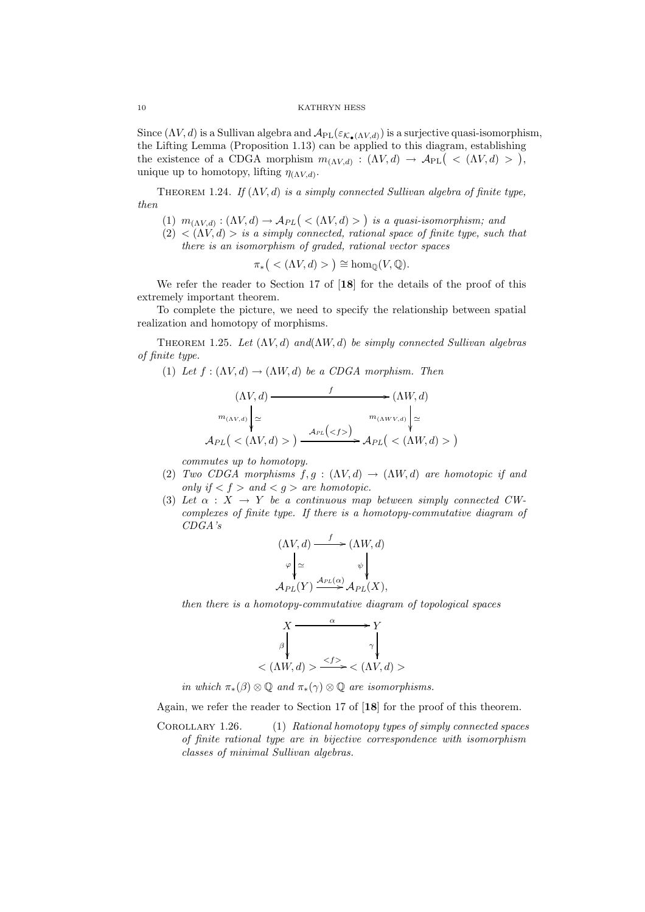Since  $(\Lambda V, d)$  is a Sullivan algebra and  $\mathcal{A}_{PL}(\varepsilon_{\mathcal{K}_{\bullet}(\Lambda V, d)})$  is a surjective quasi-isomorphism, the Lifting Lemma (Proposition 1.13) can be applied to this diagram, establishing the existence of a CDGA morphism  $m_{(\Lambda V,d)} : (\Lambda V, d) \to \mathcal{A}_{PL}$   $( $\Lambda V, d) >$ ),$ unique up to homotopy, lifting  $\eta_{(\Lambda V,d)}$ .

THEOREM 1.24. If  $(\Lambda V, d)$  is a simply connected Sullivan algebra of finite type, then

- (1)  $m_{(\Lambda V,d)} : (\Lambda V, d) \to \mathcal{A}_{PL}$  (  $\lt (\Lambda V, d) >$  ) is a quasi-isomorphism; and
- $(2) < (\Lambda V, d) >$  is a simply connected, rational space of finite type, such that there is an isomorphism of graded, rational vector spaces

$$
\pi_*\big(<(\Lambda V,d)>\big)\cong \hom_{\mathbb{Q}}(V,\mathbb{Q}).
$$

We refer the reader to Section 17 of [18] for the details of the proof of this extremely important theorem.

To complete the picture, we need to specify the relationship between spatial realization and homotopy of morphisms.

THEOREM 1.25. Let  $(\Lambda V, d)$  and  $(\Lambda W, d)$  be simply connected Sullivan algebras of finite type.

(1) Let 
$$
f : (\Lambda V, d) \to (\Lambda W, d)
$$
 be a CDGA morphism. Then

$$
(\Lambda V, d) \longrightarrow f(\Lambda W, d)
$$
  
\n
$$
m_{(\Lambda V, d)} \Big|_{\simeq} \longrightarrow m_{(\Lambda W V, d)} \Big|_{\simeq}
$$
  
\n
$$
\mathcal{A}_{PL} \Big( \langle \Lambda V, d \rangle > \Big) \xrightarrow{\mathcal{A}_{PL} \Big( \langle f \rangle > \Big)} \mathcal{A}_{PL} \Big( \langle \Lambda W, d \rangle > \Big)
$$

commutes up to homotopy.

- (2) Two CDGA morphisms  $f, g : (\Lambda V, d) \to (\Lambda W, d)$  are homotopic if and only if  $\langle f \rangle$  and  $\langle g \rangle$  are homotopic.
- (3) Let  $\alpha : X \rightarrow Y$  be a continuous map between simply connected CWcomplexes of finite type. If there is a homotopy-commutative diagram of CDGA's

$$
(\Lambda V, d) \xrightarrow{f} (\Lambda W, d)
$$

$$
\varphi \Big| \simeq \qquad \qquad \psi \Big|
$$

$$
\mathcal{A}_{PL}(Y) \xrightarrow{\mathcal{A}_{PL}(\alpha)} \mathcal{A}_{PL}(X),
$$

then there is a homotopy-commutative diagram of topological spaces

$$
X \xrightarrow{\alpha} Y
$$
  
\n
$$
\beta \downarrow \gamma \downarrow
$$
  
\n
$$
\langle \Lambda W, d \rangle > \frac{\langle f \rangle}{\langle \Lambda V, d \rangle} \rangle
$$

in which  $\pi_*(\beta) \otimes \mathbb{Q}$  and  $\pi_*(\gamma) \otimes \mathbb{Q}$  are isomorphisms.

Again, we refer the reader to Section 17 of [18] for the proof of this theorem.

Corollary 1.26. (1) Rational homotopy types of simply connected spaces of finite rational type are in bijective correspondence with isomorphism classes of minimal Sullivan algebras.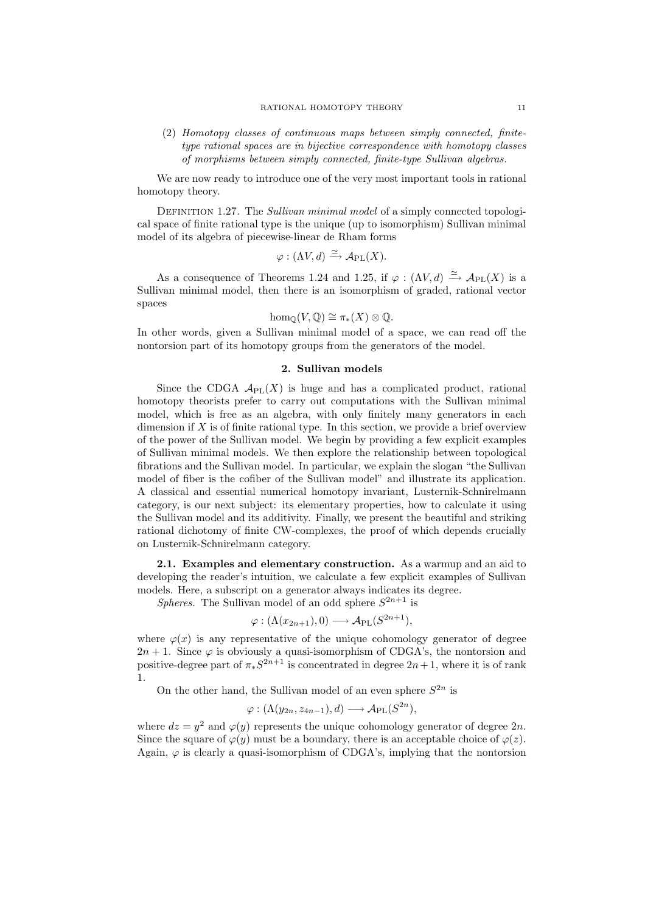(2) Homotopy classes of continuous maps between simply connected, finitetype rational spaces are in bijective correspondence with homotopy classes of morphisms between simply connected, finite-type Sullivan algebras.

We are now ready to introduce one of the very most important tools in rational homotopy theory.

DEFINITION 1.27. The Sullivan minimal model of a simply connected topological space of finite rational type is the unique (up to isomorphism) Sullivan minimal model of its algebra of piecewise-linear de Rham forms

$$
\varphi: (\Lambda V, d) \xrightarrow{\simeq} \mathcal{A}_{\rm PL}(X).
$$

As a consequence of Theorems 1.24 and 1.25, if  $\varphi : (\Lambda V, d) \xrightarrow{\simeq} \mathcal{A}_{PL}(X)$  is a Sullivan minimal model, then there is an isomorphism of graded, rational vector spaces

$$
\hom_{\mathbb{Q}}(V,\mathbb{Q}) \cong \pi_*(X) \otimes \mathbb{Q}.
$$

In other words, given a Sullivan minimal model of a space, we can read off the nontorsion part of its homotopy groups from the generators of the model.

# 2. Sullivan models

Since the CDGA  $\mathcal{A}_{\text{PL}}(X)$  is huge and has a complicated product, rational homotopy theorists prefer to carry out computations with the Sullivan minimal model, which is free as an algebra, with only finitely many generators in each dimension if  $X$  is of finite rational type. In this section, we provide a brief overview of the power of the Sullivan model. We begin by providing a few explicit examples of Sullivan minimal models. We then explore the relationship between topological fibrations and the Sullivan model. In particular, we explain the slogan "the Sullivan model of fiber is the cofiber of the Sullivan model" and illustrate its application. A classical and essential numerical homotopy invariant, Lusternik-Schnirelmann category, is our next subject: its elementary properties, how to calculate it using the Sullivan model and its additivity. Finally, we present the beautiful and striking rational dichotomy of finite CW-complexes, the proof of which depends crucially on Lusternik-Schnirelmann category.

2.1. Examples and elementary construction. As a warmup and an aid to developing the reader's intuition, we calculate a few explicit examples of Sullivan models. Here, a subscript on a generator always indicates its degree.

Spheres. The Sullivan model of an odd sphere  $S^{2n+1}$  is

$$
\varphi : (\Lambda(x_{2n+1}), 0) \longrightarrow \mathcal{A}_{\rm PL}(S^{2n+1}),
$$

where  $\varphi(x)$  is any representative of the unique cohomology generator of degree  $2n + 1$ . Since  $\varphi$  is obviously a quasi-isomorphism of CDGA's, the nontorsion and positive-degree part of  $\pi_* S^{2n+1}$  is concentrated in degree  $2n+1$ , where it is of rank 1.

On the other hand, the Sullivan model of an even sphere  $S^{2n}$  is

$$
\varphi: (\Lambda(y_{2n}, z_{4n-1}), d) \longrightarrow \mathcal{A}_{\rm PL}(S^{2n}),
$$

where  $dz = y^2$  and  $\varphi(y)$  represents the unique cohomology generator of degree  $2n$ . Since the square of  $\varphi(y)$  must be a boundary, there is an acceptable choice of  $\varphi(z)$ . Again,  $\varphi$  is clearly a quasi-isomorphism of CDGA's, implying that the nontorsion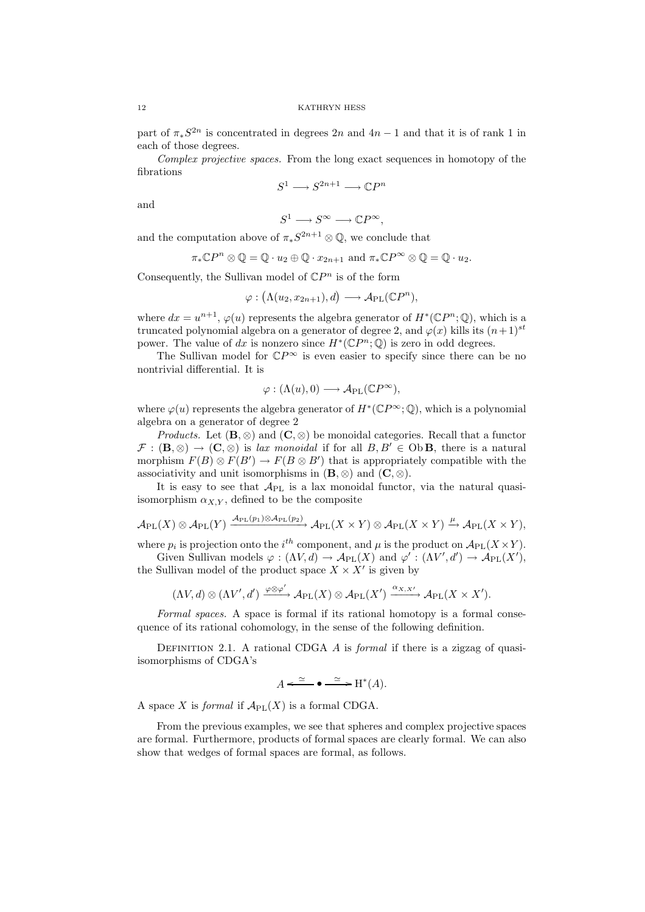part of  $\pi_* S^{2n}$  is concentrated in degrees  $2n$  and  $4n-1$  and that it is of rank 1 in each of those degrees.

Complex projective spaces. From the long exact sequences in homotopy of the fibrations

$$
S^1 \longrightarrow S^{2n+1} \longrightarrow \mathbb{C}P^n
$$

and

$$
S^1 \longrightarrow S^{\infty} \longrightarrow \mathbb{C}P^{\infty},
$$

and the computation above of  $\pi_* S^{2n+1} \otimes \mathbb{Q}$ , we conclude that

$$
\pi_*\mathbb{C}P^n\otimes\mathbb{Q}=\mathbb{Q}\cdot u_2\oplus\mathbb{Q}\cdot x_{2n+1} \text{ and } \pi_*\mathbb{C}P^\infty\otimes\mathbb{Q}=\mathbb{Q}\cdot u_2.
$$

Consequently, the Sullivan model of  $\mathbb{C}P^n$  is of the form

$$
\varphi: (\Lambda(u_2, x_{2n+1}), d) \longrightarrow \mathcal{A}_{\rm PL}(\mathbb{C}P^n),
$$

where  $dx = u^{n+1}$ ,  $\varphi(u)$  represents the algebra generator of  $H^*(\mathbb{C}P^n;\mathbb{Q})$ , which is a truncated polynomial algebra on a generator of degree 2, and  $\varphi(x)$  kills its  $(n+1)^{st}$ power. The value of dx is nonzero since  $H^*(\mathbb{C}P^n;\mathbb{Q})$  is zero in odd degrees.

The Sullivan model for  $\mathbb{C}P^{\infty}$  is even easier to specify since there can be no nontrivial differential. It is

$$
\varphi : (\Lambda(u), 0) \longrightarrow \mathcal{A}_{\rm PL}(\mathbb{C}P^\infty),
$$

where  $\varphi(u)$  represents the algebra generator of  $H^*(\mathbb{C}P^{\infty};\mathbb{Q})$ , which is a polynomial algebra on a generator of degree 2

*Products.* Let  $(\mathbf{B}, \otimes)$  and  $(\mathbf{C}, \otimes)$  be monoidal categories. Recall that a functor  $\mathcal{F}: (\mathbf{B}, \otimes) \to (\mathbf{C}, \otimes)$  is lax monoidal if for all  $B, B' \in \mathrm{Ob}\,\mathbf{B}$ , there is a natural morphism  $F(B) \otimes F(B') \to F(B \otimes B')$  that is appropriately compatible with the associativity and unit isomorphisms in  $(\mathbf{B}, \otimes)$  and  $(\mathbf{C}, \otimes)$ .

It is easy to see that  $A_{PL}$  is a lax monoidal functor, via the natural quasiisomorphism  $\alpha_{X,Y}$ , defined to be the composite

$$
\mathcal{A}_{\rm PL}(X)\otimes \mathcal{A}_{\rm PL}(Y)\xrightarrow{\mathcal{A}_{\rm PL}(p_1)\otimes \mathcal{A}_{\rm PL}(p_2)} \mathcal{A}_{\rm PL}(X\times Y)\otimes \mathcal{A}_{\rm PL}(X\times Y)\xrightarrow{\mu} \mathcal{A}_{\rm PL}(X\times Y),
$$

where  $p_i$  is projection onto the  $i^{th}$  component, and  $\mu$  is the product on  $\mathcal{A}_{\text{PL}}(X \times Y)$ .

Given Sullivan models  $\varphi : (\Lambda V, d) \to \mathcal{A}_{PL}(X)$  and  $\varphi' : (\Lambda V', d') \to \mathcal{A}_{PL}(X'),$ the Sullivan model of the product space  $X \times X'$  is given by

$$
(\Lambda V, d) \otimes (\Lambda V', d') \xrightarrow{\varphi \otimes \varphi'} \mathcal{A}_{\rm PL}(X) \otimes \mathcal{A}_{\rm PL}(X') \xrightarrow{\alpha_{X, X'}} \mathcal{A}_{\rm PL}(X \times X').
$$

Formal spaces. A space is formal if its rational homotopy is a formal consequence of its rational cohomology, in the sense of the following definition.

DEFINITION 2.1. A rational CDGA  $\hat{A}$  is formal if there is a zigzag of quasiisomorphisms of CDGA's

$$
A \xleftarrow{\simeq} \bullet \xrightarrow{\simeq} \mathcal{H}^*(A).
$$

A space X is formal if  $\mathcal{A}_{\text{PL}}(X)$  is a formal CDGA.

From the previous examples, we see that spheres and complex projective spaces are formal. Furthermore, products of formal spaces are clearly formal. We can also show that wedges of formal spaces are formal, as follows.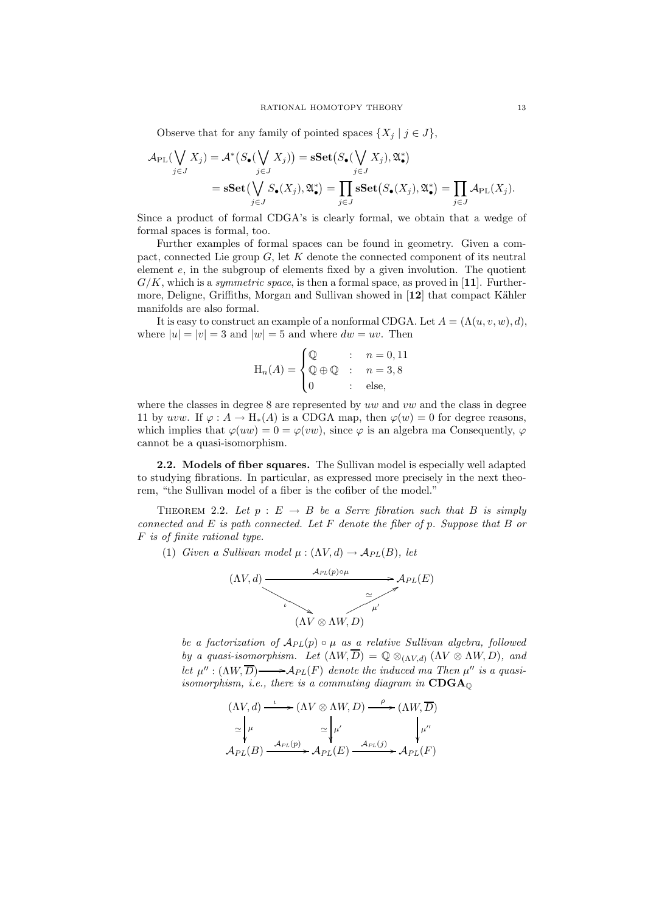Observe that for any family of pointed spaces  $\{X_j \mid j \in J\}$ ,

$$
\mathcal{A}_{\rm PL}(\bigvee_{j\in J} X_j) = \mathcal{A}^* \big(S_{\bullet}(\bigvee_{j\in J} X_j)\big) = \mathbf{sSet}\big(S_{\bullet}(\bigvee_{j\in J} X_j), \mathfrak{A}_{\bullet}^*\big) \n= \mathbf{sSet}\big(\bigvee_{j\in J} S_{\bullet}(X_j), \mathfrak{A}_{\bullet}^*\big) = \prod_{j\in J} \mathbf{sSet}\big(S_{\bullet}(X_j), \mathfrak{A}_{\bullet}^*\big) = \prod_{j\in J} \mathcal{A}_{\rm PL}(X_j).
$$

Since a product of formal CDGA's is clearly formal, we obtain that a wedge of formal spaces is formal, too.

Further examples of formal spaces can be found in geometry. Given a compact, connected Lie group  $G$ , let K denote the connected component of its neutral element  $e$ , in the subgroup of elements fixed by a given involution. The quotient  $G/K$ , which is a *symmetric space*, is then a formal space, as proved in [11]. Furthermore, Deligne, Griffiths, Morgan and Sullivan showed in  $[12]$  that compact Kähler manifolds are also formal.

It is easy to construct an example of a nonformal CDGA. Let  $A = (\Lambda(u, v, w), d)$ , where  $|u| = |v| = 3$  and  $|w| = 5$  and where  $dw = uv$ . Then

$$
\mathcal{H}_n(A) = \begin{cases} \mathbb{Q} & : n = 0, 11 \\ \mathbb{Q} \oplus \mathbb{Q} & : n = 3, 8 \\ 0 & : \text{else,} \end{cases}
$$

where the classes in degree  $8$  are represented by uw and vw and the class in degree 11 by uvw. If  $\varphi : A \to H_*(A)$  is a CDGA map, then  $\varphi(w) = 0$  for degree reasons, which implies that  $\varphi(uw) = 0 = \varphi(vw)$ , since  $\varphi$  is an algebra ma Consequently,  $\varphi$ cannot be a quasi-isomorphism.

2.2. Models of fiber squares. The Sullivan model is especially well adapted to studying fibrations. In particular, as expressed more precisely in the next theorem, "the Sullivan model of a fiber is the cofiber of the model."

THEOREM 2.2. Let  $p : E \rightarrow B$  be a Serre fibration such that B is simply connected and  $E$  is path connected. Let  $F$  denote the fiber of  $p$ . Suppose that  $B$  or F is of finite rational type.

(1) Given a Sullivan model  $\mu : (\Lambda V, d) \to \mathcal{A}_{PL}(B)$ , let

$$
(AV, d) \xrightarrow{A_{PL}(p) \circ \mu} A_{PL}(E)
$$
\n
$$
(AV \otimes \Lambda W, D)
$$

be a factorization of  $A_{PL}(p) \circ \mu$  as a relative Sullivan algebra, followed by a quasi-isomorphism. Let  $(\Lambda W, D) = \mathbb{Q} \otimes_{(\Lambda V, d)} (\Lambda V \otimes \Lambda W, D)$ , and let  $\mu''$ :  $(\Lambda W, \overline{D}) \longrightarrow A_{PL}(F)$  denote the induced ma Then  $\mu''$  is a quasiisomorphism, i.e., there is a commuting diagram in  $CDGA<sub>0</sub>$ 

$$
(\Lambda V, d) \xrightarrow{\iota} (\Lambda V \otimes \Lambda W, D) \xrightarrow{\rho} (\Lambda W, \overline{D})
$$
  
\n
$$
\simeq \int_{\mu}^{\mu} \simeq \int_{\mu'}^{\mu'} \int_{A_{PL}(B)} \mu''
$$
  
\n
$$
\mathcal{A}_{PL}(B) \xrightarrow{\mathcal{A}_{PL}(p)} \mathcal{A}_{PL}(E) \xrightarrow{\mathcal{A}_{PL}(j)} \mathcal{A}_{PL}(F)
$$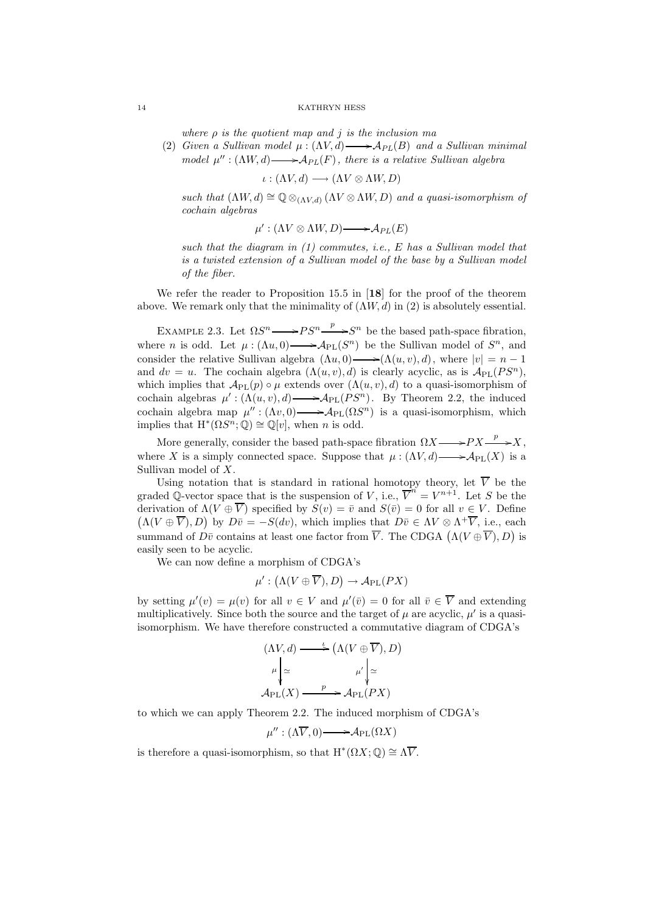where  $\rho$  is the quotient map and j is the inclusion ma

(2) Given a Sullivan model  $\mu : (\Lambda V, d) \longrightarrow \mathcal{A}_{PL}(B)$  and a Sullivan minimal model  $\mu'': (\Lambda W, d) \longrightarrow \mathcal{A}_{PL}(F)$ , there is a relative Sullivan algebra

$$
\iota: (\Lambda V, d) \longrightarrow (\Lambda V \otimes \Lambda W, D)
$$

such that  $(\Lambda W, d) \cong \mathbb{Q} \otimes_{(\Lambda V, d)} (\Lambda V \otimes \Lambda W, D)$  and a quasi-isomorphism of cochain algebras

$$
\mu': (\Lambda V \otimes \Lambda W, D) \longrightarrow \mathcal{A}_{PL}(E)
$$

such that the diagram in  $(1)$  commutes, i.e., E has a Sullivan model that is a twisted extension of a Sullivan model of the base by a Sullivan model of the fiber.

We refer the reader to Proposition 15.5 in [18] for the proof of the theorem above. We remark only that the minimality of  $(\Lambda W, d)$  in (2) is absolutely essential.

EXAMPLE 2.3. Let  $\Omega S^n \longrightarrow PS^n \xrightarrow{p} S^n$  be the based path-space fibration, where *n* is odd. Let  $\mu : (\Lambda u, 0) \longrightarrow \mathcal{A}_{PL}(S^n)$  be the Sullivan model of  $S^n$ , and consider the relative Sullivan algebra  $(\Lambda u, 0) \longrightarrow (\Lambda (u, v), d)$ , where  $|v| = n - 1$ and  $dv = u$ . The cochain algebra  $(\Lambda(u, v), d)$  is clearly acyclic, as is  $\mathcal{A}_{PL}(PS^n)$ , which implies that  $\mathcal{A}_{PL}(p) \circ \mu$  extends over  $(\Lambda(u, v), d)$  to a quasi-isomorphism of cochain algebras  $\mu' : (\Lambda(u, v), d) \longrightarrow \mathcal{A}_{PL}(PS^n)$ . By Theorem 2.2, the induced cochain algebra map  $\mu'': (\Lambda v, 0) \longrightarrow A_{PL}(\Omega S^n)$  is a quasi-isomorphism, which implies that  $H^*(\Omega S^n; \mathbb{Q}) \cong \mathbb{Q}[v]$ , when *n* is odd.

More generally, consider the based path-space fibration  $\Omega X \longrightarrow PX \longrightarrow X$ , where X is a simply connected space. Suppose that  $\mu : (\Lambda V, d) \longrightarrow \mathcal{A}_{PL}(X)$  is a Sullivan model of X.

Using notation that is standard in rational homotopy theory, let  $\overline{V}$  be the graded Q-vector space that is the suspension of V, i.e.,  $\overline{V}^n = V^{n+1}$ . Let S be the derivation of  $\Lambda(V\oplus\overline{V})$  specified by  $S(v) = \overline{v}$  and  $S(\overline{v}) = 0$  for all  $v \in V$ . Define  $(\Lambda(V\oplus\overline{V}),D)$  by  $D\overline{v}=-S(dv)$ , which implies that  $D\overline{v}\in \Lambda V\otimes \Lambda^+\overline{V}$ , i.e., each summand of  $D\bar{v}$  contains at least one factor from  $\overline{V}$ . The CDGA  $(\Lambda(V\oplus\overline{V}), D)$  is easily seen to be acyclic.

We can now define a morphism of CDGA's

$$
\mu': (\Lambda(V \oplus \overline{V}), D) \to \mathcal{A}_{\rm PL}(PX)
$$

by setting  $\mu'(v) = \mu(v)$  for all  $v \in V$  and  $\mu'(\overline{v}) = 0$  for all  $\overline{v} \in \overline{V}$  and extending multiplicatively. Since both the source and the target of  $\mu$  are acyclic,  $\mu'$  is a quasiisomorphism. We have therefore constructed a commutative diagram of CDGA's

$$
(\Lambda V, d) \longrightarrow (\Lambda (V \oplus \overline{V}), D)
$$
  
\n
$$
\mu \downarrow \simeq \mu' \downarrow \simeq
$$
  
\n
$$
\mathcal{A}_{PL}(X) \longrightarrow \mathcal{A}_{PL}(PX)
$$

to which we can apply Theorem 2.2. The induced morphism of CDGA's

$$
\mu'':(\Lambda \overline{V},0) \longrightarrow \mathcal{A}_{\rm PL}(\Omega X)
$$

is therefore a quasi-isomorphism, so that  $H^*(\Omega X; \mathbb{Q}) \cong \Lambda \overline{V}$ .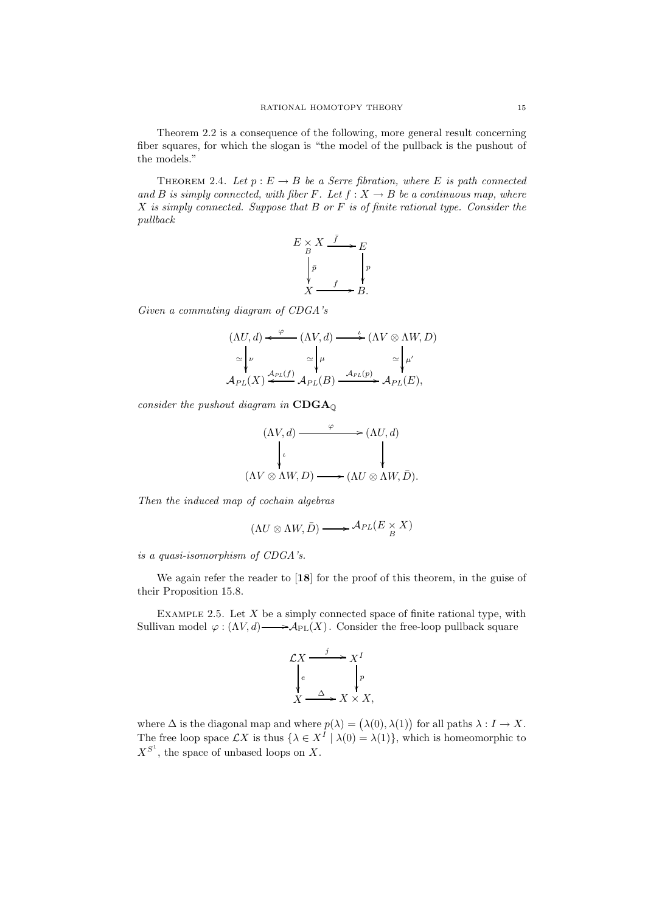Theorem 2.2 is a consequence of the following, more general result concerning fiber squares, for which the slogan is "the model of the pullback is the pushout of the models."

THEOREM 2.4. Let  $p : E \to B$  be a Serre fibration, where E is path connected and B is simply connected, with fiber F. Let  $f: X \to B$  be a continuous map, where  $X$  is simply connected. Suppose that  $B$  or  $F$  is of finite rational type. Consider the pullback

$$
E \underset{B}{\times} X \xrightarrow{f} E
$$
  
\n
$$
\downarrow_{\bar{p}} \qquad \downarrow_{\bar{p}} \qquad \downarrow_{\bar{p}} \qquad \downarrow_{\bar{p}} \qquad \downarrow_{\bar{p}} \qquad \downarrow_{\bar{p}} \qquad \downarrow_{\bar{p}} \qquad \downarrow_{\bar{p}} \qquad \downarrow_{\bar{p}} \qquad \downarrow_{\bar{p}} \qquad \downarrow_{\bar{p}} \qquad \downarrow_{\bar{p}} \qquad \downarrow_{\bar{p}} \qquad \downarrow_{\bar{p}} \qquad \downarrow_{\bar{p}} \qquad \downarrow_{\bar{p}} \qquad \downarrow_{\bar{p}} \qquad \downarrow_{\bar{p}} \qquad \downarrow_{\bar{p}} \qquad \downarrow_{\bar{p}} \qquad \downarrow_{\bar{p}} \qquad \downarrow_{\bar{p}} \qquad \downarrow_{\bar{p}} \qquad \downarrow_{\bar{p}} \qquad \downarrow_{\bar{p}} \qquad \downarrow_{\bar{p}} \qquad \downarrow_{\bar{p}} \qquad \downarrow_{\bar{p}} \qquad \downarrow_{\bar{p}} \qquad \downarrow_{\bar{p}} \qquad \downarrow_{\bar{p}} \qquad \downarrow_{\bar{p}} \qquad \downarrow_{\bar{p}} \qquad \downarrow_{\bar{p}} \qquad \downarrow_{\bar{p}} \qquad \downarrow_{\bar{p}} \qquad \downarrow_{\bar{p}} \qquad \downarrow_{\bar{p}} \qquad \downarrow_{\bar{p}} \qquad \downarrow_{\bar{p}} \qquad \downarrow_{\bar{p}} \qquad \downarrow_{\bar{p}} \qquad \downarrow_{\bar{p}} \qquad \downarrow_{\bar{p}} \qquad \downarrow_{\bar{p}} \qquad \downarrow_{\bar{p}} \qquad \downarrow_{\bar{p}} \qquad \downarrow_{\bar{p}} \qquad \downarrow_{\bar{p}} \qquad \downarrow_{\bar{p}} \qquad \downarrow_{\bar{p}} \qquad \downarrow_{\bar{p}} \qquad \downarrow_{\bar{p}} \qquad \downarrow_{\bar{p}} \qquad \downarrow_{\bar{p}} \qquad \downarrow_{\bar{p}} \qquad \downarrow_{\bar{p}} \qquad \downarrow_{\bar{p}} \qquad \downarrow_{\bar{p}} \qquad \downarrow_{\bar{p}} \qquad \downarrow_{\bar{p}} \
$$

Given a commuting diagram of CDGA's

$$
(\Lambda U, d) \xleftarrow{\varphi} (\Lambda V, d) \xrightarrow{\iota} (\Lambda V \otimes \Lambda W, D)
$$
  
\n
$$
\simeq \begin{vmatrix} \nu & \simeq \mu & \simeq \mu' \\ \mu & \mu & \mu' \\ \mathcal{A}_{PL}(X) \xleftarrow{\mathcal{A}_{PL}(f)} \mathcal{A}_{PL}(B) \xrightarrow{\mathcal{A}_{PL}(p)} \mathcal{A}_{PL}(E), \end{vmatrix}
$$

consider the pushout diagram in  $CDGA_{\mathbb{Q}}$ 

$$
(\Lambda V, d) \xrightarrow{\varphi} (\Lambda U, d)
$$
  
\n
$$
\downarrow \qquad \qquad \downarrow
$$
  
\n
$$
(\Lambda V \otimes \Lambda W, D) \longrightarrow (\Lambda U \otimes \Lambda W, \bar{D}).
$$

Then the induced map of cochain algebras

$$
(\Lambda U \otimes \Lambda W, \bar{D}) \longrightarrow \mathcal{A}_{PL}(E \underset{B}{\times} X)
$$

is a quasi-isomorphism of CDGA's.

We again refer the reader to [18] for the proof of this theorem, in the guise of their Proposition 15.8.

EXAMPLE 2.5. Let  $X$  be a simply connected space of finite rational type, with Sullivan model  $\varphi: (\Lambda V, d) \longrightarrow \mathcal{A}_{PL}(X)$ . Consider the free-loop pullback square



where  $\Delta$  is the diagonal map and where  $p(\lambda) = (\lambda(0), \lambda(1))$  for all paths  $\lambda : I \to X$ . The free loop space  $\mathcal{L}X$  is thus  $\{\lambda \in X^I \mid \lambda(0) = \lambda(1)\}$ , which is homeomorphic to  $X^{S^1}$ , the space of unbased loops on X.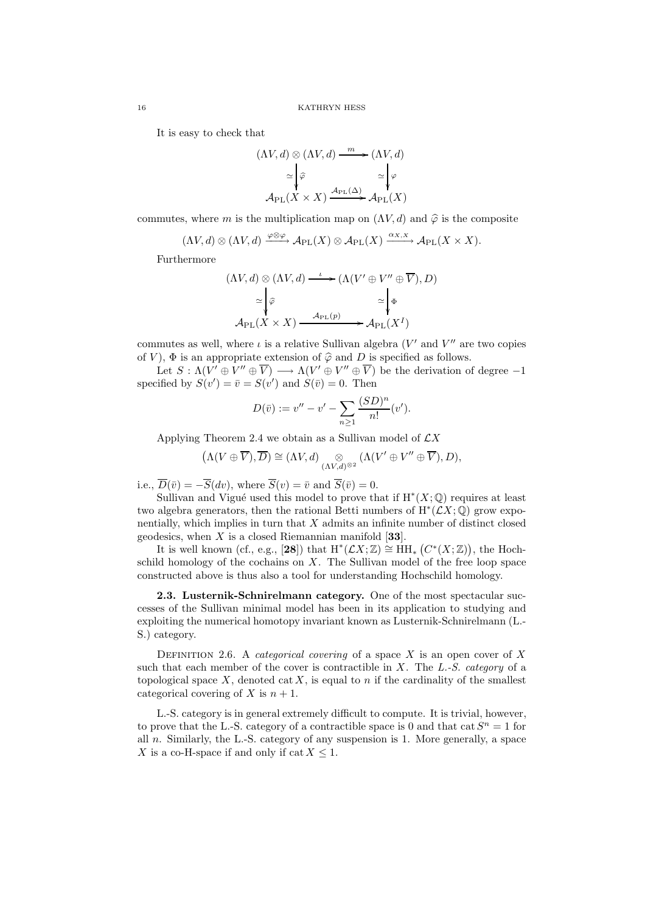It is easy to check that

$$
(\Lambda V, d) \otimes (\Lambda V, d) \xrightarrow{m} (\Lambda V, d)
$$

$$
\simeq \begin{vmatrix} \varphi & & \simeq \\ \varphi & & \searrow \\ \mathcal{A}_{\text{PL}}(X \times X) & \xrightarrow{\mathcal{A}_{\text{PL}}(\Delta)} \mathcal{A}_{\text{PL}}(X) \end{vmatrix}
$$

commutes, where m is the multiplication map on  $(\Lambda V, d)$  and  $\hat{\varphi}$  is the composite

$$
(\Lambda V, d) \otimes (\Lambda V, d) \xrightarrow{\varphi \otimes \varphi} \mathcal{A}_{\rm PL}(X) \otimes \mathcal{A}_{\rm PL}(X) \xrightarrow{\alpha_{X,X}} \mathcal{A}_{\rm PL}(X \times X).
$$

Furthermore

$$
(\Lambda V, d) \otimes (\Lambda V, d) \xrightarrow{\iota} (\Lambda (V' \oplus V'' \oplus \overline{V}), D)
$$

$$
\simeq \begin{vmatrix} \widehat{\varphi} & \simeq \end{vmatrix} \Phi
$$

$$
\mathcal{A}_{\rm PL}(X \times X) \xrightarrow{\mathcal{A}_{\rm PL}(p)} \mathcal{A}_{\rm PL}(X^I)
$$

commutes as well, where  $\iota$  is a relative Sullivan algebra (V' and V" are two copies of V),  $\Phi$  is an appropriate extension of  $\hat{\varphi}$  and D is specified as follows.

Let  $S: \Lambda(V' \oplus V'' \oplus \overline{V}) \longrightarrow \Lambda(V' \oplus V'' \oplus \overline{V})$  be the derivation of degree  $-1$ specified by  $S(v') = \overline{v} = S(v')$  and  $S(\overline{v}) = 0$ . Then

$$
D(\bar{v}) := v'' - v' - \sum_{n \ge 1} \frac{(SD)^n}{n!} (v').
$$

Applying Theorem 2.4 we obtain as a Sullivan model of  $\mathcal{L}X$ 

$$
(\Lambda(V\oplus\overline{V}),\overline{D})\cong(\Lambda V,d)\underset{(\Lambda V,d)^{\otimes 2}}{\otimes}(\Lambda(V'\oplus V''\oplus\overline{V}),D),
$$

i.e.,  $\overline{D}(\bar{v}) = -\overline{S}(dv)$ , where  $\overline{S}(v) = \bar{v}$  and  $\overline{S}(\bar{v}) = 0$ .

Sullivan and Vigué used this model to prove that if  $H^*(X; \mathbb{Q})$  requires at least two algebra generators, then the rational Betti numbers of  $H^*(\mathcal{L}X;\mathbb{Q})$  grow exponentially, which implies in turn that  $X$  admits an infinite number of distinct closed geodesics, when  $X$  is a closed Riemannian manifold [33].

It is well known (cf., e.g., [28]) that  $H^*(\mathcal{L}X;\mathbb{Z}) \cong \text{HH}_*\left(C^*(X;\mathbb{Z})\right)$ , the Hochschild homology of the cochains on  $X$ . The Sullivan model of the free loop space constructed above is thus also a tool for understanding Hochschild homology.

2.3. Lusternik-Schnirelmann category. One of the most spectacular successes of the Sullivan minimal model has been in its application to studying and exploiting the numerical homotopy invariant known as Lusternik-Schnirelmann (L.- S.) category.

DEFINITION 2.6. A *categorical covering* of a space  $X$  is an open cover of  $X$ such that each member of the cover is contractible in  $X$ . The  $L-S$ . category of a topological space  $X$ , denoted cat  $X$ , is equal to n if the cardinality of the smallest categorical covering of X is  $n + 1$ .

L.-S. category is in general extremely difficult to compute. It is trivial, however, to prove that the L.-S. category of a contractible space is 0 and that  $cat S<sup>n</sup> = 1$  for all  $n$ . Similarly, the L.-S. category of any suspension is 1. More generally, a space X is a co-H-space if and only if  $cat X \leq 1$ .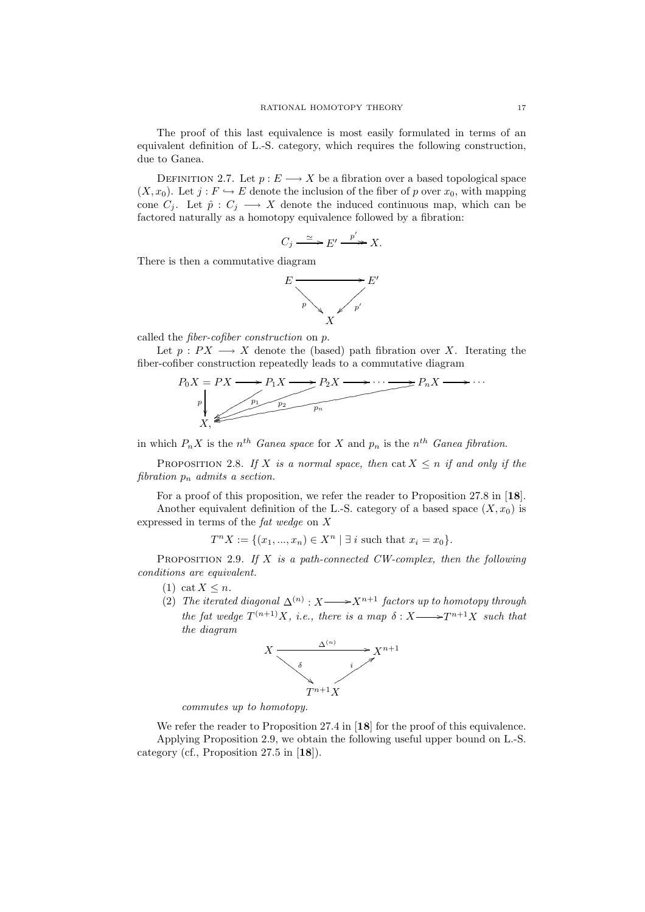The proof of this last equivalence is most easily formulated in terms of an equivalent definition of L.-S. category, which requires the following construction, due to Ganea.

DEFINITION 2.7. Let  $p: E \longrightarrow X$  be a fibration over a based topological space  $(X, x_0)$ . Let  $j : F \hookrightarrow E$  denote the inclusion of the fiber of p over  $x_0$ , with mapping cone  $C_j$ . Let  $\hat{p}: C_j \longrightarrow X$  denote the induced continuous map, which can be factored naturally as a homotopy equivalence followed by a fibration:

$$
C_j \xrightarrow{\simeq} E' \xrightarrow{p'} X.
$$

There is then a commutative diagram



called the fiber-cofiber construction on p.

Let  $p : PX \longrightarrow X$  denote the (based) path fibration over X. Iterating the fiber-cofiber construction repeatedly leads to a commutative diagram



in which  $P_n X$  is the  $n^{th}$  Ganea space for X and  $p_n$  is the  $n^{th}$  Ganea fibration.

PROPOSITION 2.8. If X is a normal space, then cat  $X \leq n$  if and only if the fibration  $p_n$  admits a section.

For a proof of this proposition, we refer the reader to Proposition 27.8 in [18]. Another equivalent definition of the L.-S. category of a based space  $(X, x_0)$  is expressed in terms of the fat wedge on X

 $T^n X := \{ (x_1, ..., x_n) \in X^n \mid \exists i \text{ such that } x_i = x_0 \}.$ 

PROPOSITION 2.9. If  $X$  is a path-connected CW-complex, then the following conditions are equivalent.

- (1) cat  $X \leq n$ .
- (2) The iterated diagonal  $\Delta^{(n)}$  :  $X \rightarrow X^{n+1}$  factors up to homotopy through the fat wedge  $T^{(n+1)}X$ , i.e., there is a map  $\delta : X \longrightarrow T^{n+1}X$  such that the diagram



commutes up to homotopy.

We refer the reader to Proposition 27.4 in [18] for the proof of this equivalence. Applying Proposition 2.9, we obtain the following useful upper bound on L.-S. category (cf., Proposition 27.5 in [18]).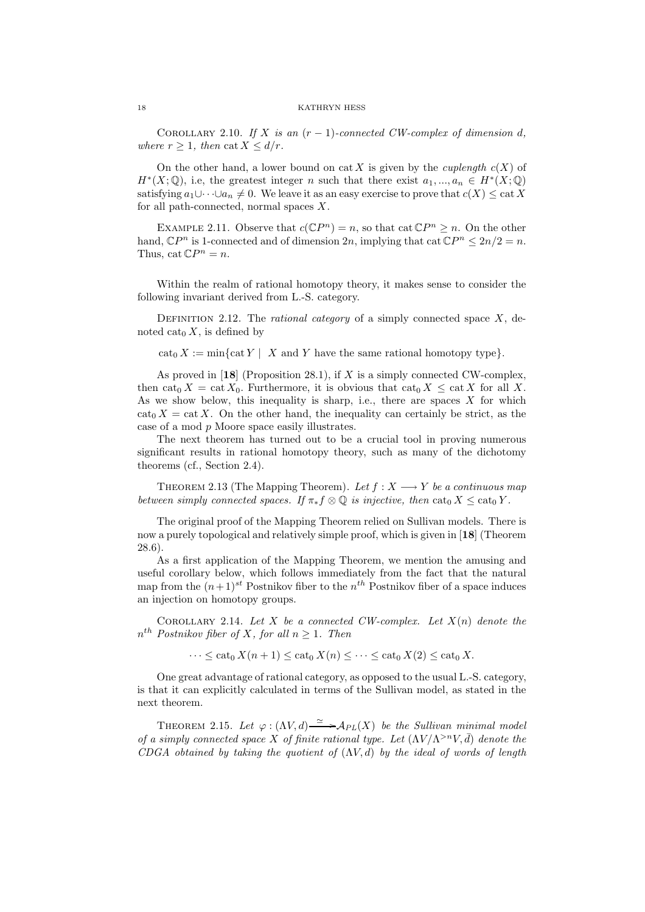COROLLARY 2.10. If X is an  $(r-1)$ -connected CW-complex of dimension d, where  $r \geq 1$ , then cat  $X \leq d/r$ .

On the other hand, a lower bound on cat X is given by the *cuplength*  $c(X)$  of  $H^*(X; \mathbb{Q})$ , i.e, the greatest integer n such that there exist  $a_1, ..., a_n \in H^*(X; \mathbb{Q})$ satisfying  $a_1\cup\cdots\cup a_n\neq 0$ . We leave it as an easy exercise to prove that  $c(X)\leq \text{cat } X$ for all path-connected, normal spaces  $X$ .

EXAMPLE 2.11. Observe that  $c(\mathbb{C}P^n) = n$ , so that cat  $\mathbb{C}P^n \geq n$ . On the other hand,  $\mathbb{C}P^n$  is 1-connected and of dimension  $2n$ , implying that  $\cot \mathbb{C}P^n \leq 2n/2 = n$ . Thus,  $cat CP<sup>n</sup> = n$ .

Within the realm of rational homotopy theory, it makes sense to consider the following invariant derived from L.-S. category.

DEFINITION 2.12. The *rational category* of a simply connected space  $X$ , denoted cat<sub>0</sub>  $X$ , is defined by

 $\operatorname{cat}_0 X := \min\{\operatorname{cat} Y \mid X \text{ and } Y \text{ have the same rational homotopy type}\}.$ 

As proved in  $[18]$  (Proposition 28.1), if X is a simply connected CW-complex, then cat<sub>0</sub> X = cat  $X_0$ . Furthermore, it is obvious that cat<sub>0</sub> X  $\leq$  cat X for all X. As we show below, this inequality is sharp, i.e., there are spaces  $X$  for which  $\text{cat}_0 X = \text{cat } X$ . On the other hand, the inequality can certainly be strict, as the case of a mod p Moore space easily illustrates.

The next theorem has turned out to be a crucial tool in proving numerous significant results in rational homotopy theory, such as many of the dichotomy theorems (cf., Section 2.4).

THEOREM 2.13 (The Mapping Theorem). Let  $f : X \longrightarrow Y$  be a continuous map between simply connected spaces. If  $\pi_* f \otimes \mathbb{Q}$  is injective, then  $\text{cat}_0 X \leq \text{cat}_0 Y$ .

The original proof of the Mapping Theorem relied on Sullivan models. There is now a purely topological and relatively simple proof, which is given in [18] (Theorem 28.6).

As a first application of the Mapping Theorem, we mention the amusing and useful corollary below, which follows immediately from the fact that the natural map from the  $(n+1)^{st}$  Postnikov fiber to the  $n^{th}$  Postnikov fiber of a space induces an injection on homotopy groups.

COROLLARY 2.14. Let X be a connected CW-complex. Let  $X(n)$  denote the  $n^{th}$  Postnikov fiber of X, for all  $n \geq 1$ . Then

 $\cdots \leq \mathrm{cat}_0 X(n+1) \leq \mathrm{cat}_0 X(n) \leq \cdots \leq \mathrm{cat}_0 X(2) \leq \mathrm{cat}_0 X.$ 

One great advantage of rational category, as opposed to the usual L.-S. category, is that it can explicitly calculated in terms of the Sullivan model, as stated in the next theorem.

THEOREM 2.15. Let  $\varphi : (\Lambda V, d) \xrightarrow{\simeq} {\cal A}_{PL}(X)$  be the Sullivan minimal model of a simply connected space X of finite rational type. Let  $(\Lambda V/\Lambda^{>n}V,\bar{d})$  denote the CDGA obtained by taking the quotient of  $(\Lambda V, d)$  by the ideal of words of length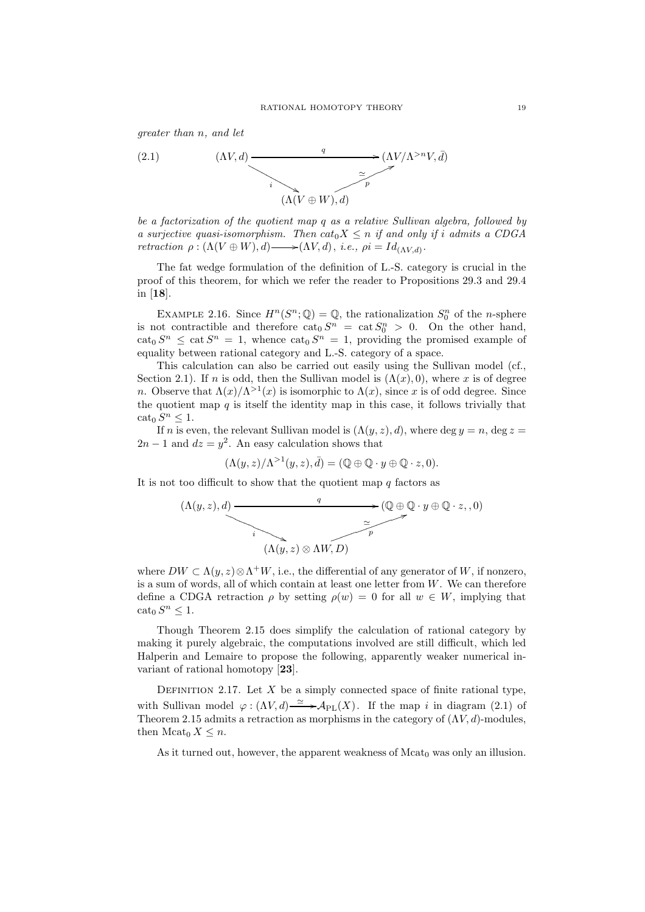greater than n, and let



be a factorization of the quotient map q as a relative Sullivan algebra, followed by a surjective quasi-isomorphism. Then  $cat_0X \leq n$  if and only if i admits a CDGA retraction  $\rho : (\Lambda (V \oplus W), d) \longrightarrow (\Lambda V, d), i.e., \rho i = Id_{(\Lambda V, d)}.$ 

The fat wedge formulation of the definition of L.-S. category is crucial in the proof of this theorem, for which we refer the reader to Propositions 29.3 and 29.4 in [18].

EXAMPLE 2.16. Since  $H^n(S^n; \mathbb{Q}) = \mathbb{Q}$ , the rationalization  $S_0^n$  of the *n*-sphere is not contractible and therefore  $\text{cat}_0 S^n = \text{cat } S_0^n > 0$ . On the other hand,  $\cot_0 S^n \leq \cot S^n = 1$ , whence  $\cot_0 S^n = 1$ , providing the promised example of equality between rational category and L.-S. category of a space.

This calculation can also be carried out easily using the Sullivan model (cf., Section 2.1). If n is odd, then the Sullivan model is  $(\Lambda(x), 0)$ , where x is of degree *n*. Observe that  $\Lambda(x)/\Lambda^{>1}(x)$  is isomorphic to  $\Lambda(x)$ , since x is of odd degree. Since the quotient map  $q$  is itself the identity map in this case, it follows trivially that  $\operatorname{cat}_0 S^n \leq 1.$ 

If n is even, the relevant Sullivan model is  $(\Lambda(y, z), d)$ , where deg  $y = n$ , deg  $z =$  $2n-1$  and  $dz = y^2$ . An easy calculation shows that

$$
(\Lambda(y,z)/\Lambda^{>1}(y,z),\bar{d})=(\mathbb{Q}\oplus\mathbb{Q}\cdot y\oplus\mathbb{Q}\cdot z,0).
$$

It is not too difficult to show that the quotient map  $q$  factors as

$$
(\Lambda(y, z), d) \xrightarrow{q} (\mathbb{Q} \oplus \mathbb{Q} \cdot y \oplus \mathbb{Q} \cdot z, 0)
$$
\n
$$
(\Lambda(y, z) \otimes \Lambda W, D)
$$

where  $DW \subset \Lambda(y, z) \otimes \Lambda^+W$ , i.e., the differential of any generator of W, if nonzero, is a sum of words, all of which contain at least one letter from  $W$ . We can therefore define a CDGA retraction  $\rho$  by setting  $\rho(w) = 0$  for all  $w \in W$ , implying that  $\operatorname{cat}_0 S^n \leq 1.$ 

Though Theorem 2.15 does simplify the calculation of rational category by making it purely algebraic, the computations involved are still difficult, which led Halperin and Lemaire to propose the following, apparently weaker numerical invariant of rational homotopy [23].

DEFINITION 2.17. Let  $X$  be a simply connected space of finite rational type, with Sullivan model  $\varphi : (\Lambda V, d) \xrightarrow{\simeq} \mathcal{A}_{PL}(X)$ . If the map i in diagram (2.1) of Theorem 2.15 admits a retraction as morphisms in the category of  $(\Lambda V, d)$ -modules, then  $\text{Mcat}_0 X \leq n$ .

As it turned out, however, the apparent weakness of  $Mcat<sub>0</sub>$  was only an illusion.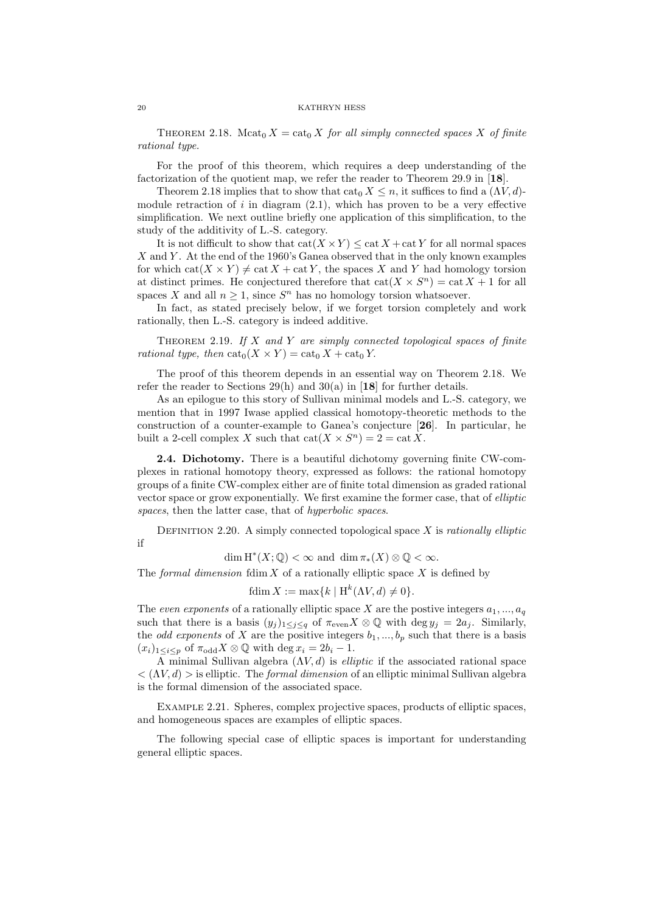THEOREM 2.18. Mcat<sub>0</sub>  $X = \text{cat}_0 X$  for all simply connected spaces X of finite rational type.

For the proof of this theorem, which requires a deep understanding of the factorization of the quotient map, we refer the reader to Theorem 29.9 in [18].

Theorem 2.18 implies that to show that  $\text{cat}_0 X \leq n$ , it suffices to find a  $(\Lambda V, d)$ module retraction of  $i$  in diagram  $(2.1)$ , which has proven to be a very effective simplification. We next outline briefly one application of this simplification, to the study of the additivity of L.-S. category.

It is not difficult to show that  $cat(X \times Y) \leq cat X + cat Y$  for all normal spaces  $X$  and Y. At the end of the 1960's Ganea observed that in the only known examples for which  $\text{cat}(X \times Y) \neq \text{cat } X + \text{cat } Y$ , the spaces X and Y had homology torsion at distinct primes. He conjectured therefore that  $cat(X \times S^n) = cat X + 1$  for all spaces X and all  $n \geq 1$ , since  $S<sup>n</sup>$  has no homology torsion whatsoever.

In fact, as stated precisely below, if we forget torsion completely and work rationally, then L.-S. category is indeed additive.

THEOREM 2.19. If  $X$  and  $Y$  are simply connected topological spaces of finite rational type, then  $\text{cat}_0(X \times Y) = \text{cat}_0 X + \text{cat}_0 Y$ .

The proof of this theorem depends in an essential way on Theorem 2.18. We refer the reader to Sections  $29(h)$  and  $30(a)$  in [18] for further details.

As an epilogue to this story of Sullivan minimal models and L.-S. category, we mention that in 1997 Iwase applied classical homotopy-theoretic methods to the construction of a counter-example to Ganea's conjecture [26]. In particular, he built a 2-cell complex X such that  $cat(X \times S^n) = 2 = cat X$ .

2.4. Dichotomy. There is a beautiful dichotomy governing finite CW-complexes in rational homotopy theory, expressed as follows: the rational homotopy groups of a finite CW-complex either are of finite total dimension as graded rational vector space or grow exponentially. We first examine the former case, that of elliptic spaces, then the latter case, that of *hyperbolic spaces*.

DEFINITION 2.20. A simply connected topological space  $X$  is *rationally elliptic* if

 $\dim H^*(X; \mathbb{Q}) < \infty$  and  $\dim \pi_*(X) \otimes \mathbb{Q} < \infty$ .

The formal dimension fdim  $X$  of a rationally elliptic space  $X$  is defined by

fdim  $X := \max\{k \mid \mathcal{H}^k(\Lambda V, d) \neq 0\}.$ 

The even exponents of a rationally elliptic space X are the postive integers  $a_1, ..., a_q$ such that there is a basis  $(y_i)_{1\leq i\leq q}$  of  $\pi_{\text{even}}X\otimes\mathbb{Q}$  with  $\deg y_i = 2a_i$ . Similarly, the *odd exponents* of X are the positive integers  $b_1, ..., b_p$  such that there is a basis  $(x_i)_{1\leq i\leq p}$  of  $\pi_{\text{odd}} X \otimes \mathbb{Q}$  with  $\deg x_i = 2b_i - 1$ .

A minimal Sullivan algebra  $(\Lambda V, d)$  is *elliptic* if the associated rational space  $\langle (N, d) \rangle$  is elliptic. The *formal dimension* of an elliptic minimal Sullivan algebra is the formal dimension of the associated space.

Example 2.21. Spheres, complex projective spaces, products of elliptic spaces, and homogeneous spaces are examples of elliptic spaces.

The following special case of elliptic spaces is important for understanding general elliptic spaces.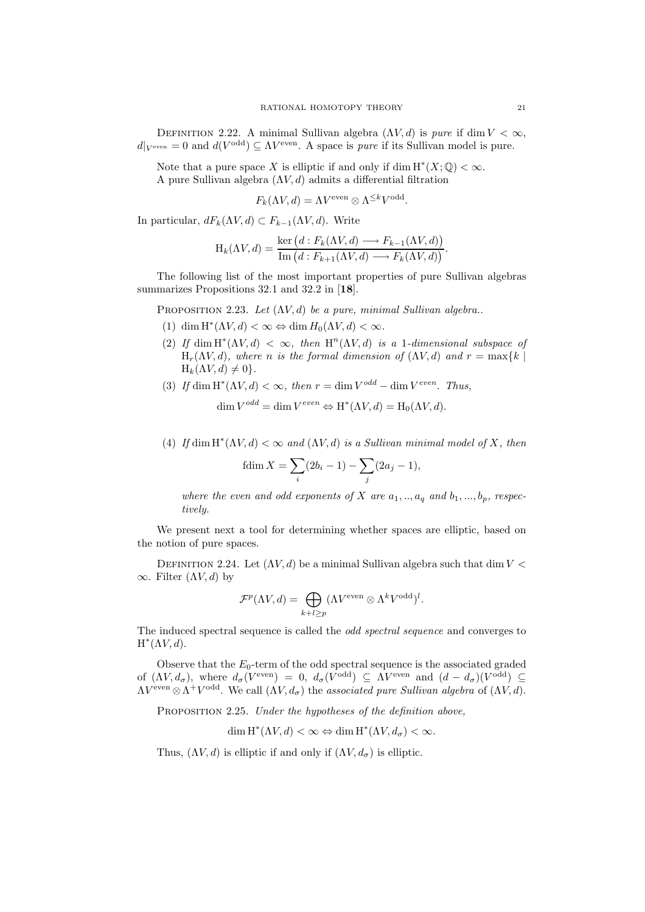DEFINITION 2.22. A minimal Sullivan algebra  $(\Lambda V, d)$  is pure if dim  $V < \infty$ ,  $d|_{V^{\text{even}}} = 0$  and  $d(V^{\text{odd}}) \subseteq \Lambda V^{\text{even}}$ . A space is *pure* if its Sullivan model is pure.

Note that a pure space X is elliptic if and only if dim  $H^*(X; \mathbb{Q}) < \infty$ . A pure Sullivan algebra  $(\Lambda V, d)$  admits a differential filtration

$$
F_k(\Lambda V, d) = \Lambda V^{\text{even}} \otimes \Lambda^{\leq k} V^{\text{odd}}.
$$

In particular,  $dF_k(\Lambda V, d) \subset F_{k-1}(\Lambda V, d)$ . Write

$$
H_k(\Lambda V, d) = \frac{\ker (d : F_k(\Lambda V, d) \longrightarrow F_{k-1}(\Lambda V, d))}{\text{Im}(d : F_{k+1}(\Lambda V, d) \longrightarrow F_k(\Lambda V, d))}.
$$

The following list of the most important properties of pure Sullivan algebras summarizes Propositions 32.1 and 32.2 in [18].

PROPOSITION 2.23. Let  $(\Lambda V, d)$  be a pure, minimal Sullivan algebra..

- (1) dim  $H^*(\Lambda V, d) < \infty \Leftrightarrow \dim H_0(\Lambda V, d) < \infty$ .
- (2) If dim  $H^*(\Lambda V, d) < \infty$ , then  $H^n(\Lambda V, d)$  is a 1-dimensional subspace of  $H_r(\Lambda V, d)$ , where n is the formal dimension of  $(\Lambda V, d)$  and  $r = \max\{k \mid$  $H_k(\Lambda V, d) \neq 0$ .
- (3) If dim  $H^*(\Lambda V, d) < \infty$ , then  $r = \dim V^{odd} \dim V^{even}$ . Thus,

$$
\dim V^{odd} = \dim V^{even} \Leftrightarrow H^*(\Lambda V, d) = H_0(\Lambda V, d).
$$

(4) If dim  $H^*(\Lambda V, d) < \infty$  and  $(\Lambda V, d)$  is a Sullivan minimal model of X, then

$$
fdim X = \sum_{i} (2b_i - 1) - \sum_{j} (2a_j - 1),
$$

where the even and odd exponents of X are  $a_1, \ldots, a_q$  and  $b_1, \ldots, b_p$ , respectively.

We present next a tool for determining whether spaces are elliptic, based on the notion of pure spaces.

DEFINITION 2.24. Let  $(\Lambda V, d)$  be a minimal Sullivan algebra such that dim  $V <$  $\infty$ . Filter  $(\Lambda V, d)$  by

$$
\mathcal{F}^p(\Lambda V, d) = \bigoplus_{k+l \geq p} (\Lambda V^{\text{even}} \otimes \Lambda^k V^{\text{odd}})^l.
$$

The induced spectral sequence is called the odd spectral sequence and converges to  $H^*(\Lambda V, d)$ .

Observe that the  $E_0$ -term of the odd spectral sequence is the associated graded of  $(\Lambda V, d_{\sigma})$ , where  $d_{\sigma}(V^{\text{even}}) = 0$ ,  $d_{\sigma}(V^{\text{odd}}) \subseteq \Lambda V^{\text{even}}$  and  $(d - d_{\sigma})(V^{\text{odd}}) \subseteq$  $\Lambda V^{\text{even}} \otimes \Lambda^+ V^{\text{odd}}$ . We call  $(\Lambda V, d_{\sigma})$  the associated pure Sullivan algebra of  $(\Lambda V, d)$ .

PROPOSITION 2.25. Under the hypotheses of the definition above.

dim  $H^*(\Lambda V, d) < \infty \Leftrightarrow \dim H^*(\Lambda V, d_{\sigma}) < \infty.$ 

Thus,  $(\Lambda V, d)$  is elliptic if and only if  $(\Lambda V, d_{\sigma})$  is elliptic.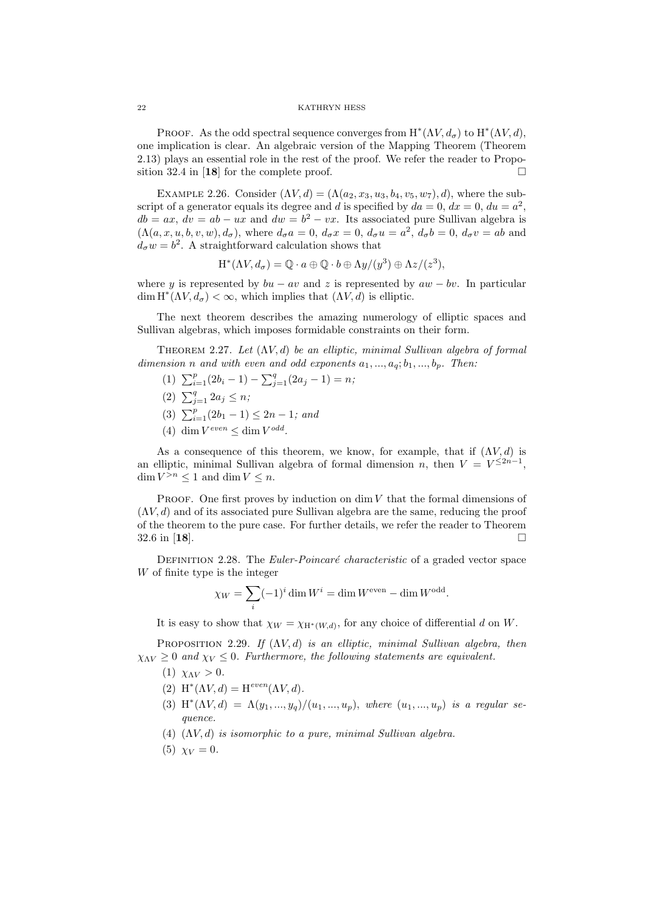PROOF. As the odd spectral sequence converges from  $H^*(\Lambda V, d_\sigma)$  to  $H^*(\Lambda V, d)$ , one implication is clear. An algebraic version of the Mapping Theorem (Theorem 2.13) plays an essential role in the rest of the proof. We refer the reader to Proposition 32.4 in [18] for the complete proof.  $\Box$ 

EXAMPLE 2.26. Consider  $(\Lambda V, d) = (\Lambda (a_2, x_3, u_3, b_4, v_5, w_7), d)$ , where the subscript of a generator equals its degree and d is specified by  $da = 0$ ,  $dx = 0$ ,  $du = a^2$ ,  $db = ax, dv = ab - ux$  and  $dw = b^2 - vx$ . Its associated pure Sullivan algebra is  $(\Lambda(a, x, u, b, v, w), d_{\sigma})$ , where  $d_{\sigma}a = 0$ ,  $d_{\sigma}x = 0$ ,  $d_{\sigma}u = a^2$ ,  $d_{\sigma}b = 0$ ,  $d_{\sigma}v = ab$  and  $d_{\sigma} w = b^2$ . A straightforward calculation shows that

$$
\mathrm{H}^*(\Lambda V,d_\sigma)=\mathbb{Q}\cdot a\oplus\mathbb{Q}\cdot b\oplus \Lambda y/(y^3)\oplus \Lambda z/(z^3),
$$

where y is represented by  $bu - av$  and z is represented by  $aw - bv$ . In particular  $\dim H^*(\Lambda V, d_\sigma) < \infty$ , which implies that  $(\Lambda V, d)$  is elliptic.

The next theorem describes the amazing numerology of elliptic spaces and Sullivan algebras, which imposes formidable constraints on their form.

THEOREM 2.27. Let  $(\Lambda V, d)$  be an elliptic, minimal Sullivan algebra of formal dimension n and with even and odd exponents  $a_1, ..., a_q; b_1, ..., b_p$ . Then:

- (1)  $\sum_{i=1}^{p} (2b_i 1) \sum_{j=1}^{q} (2a_j 1) = n;$
- (2)  $\sum_{j=1}^{q} 2a_j \leq n;$
- (3)  $\sum_{i=1}^{p} (2b_1 1) \leq 2n 1$ ; and
- (4) dim  $V^{even} \leq \dim V^{odd}$ .

As a consequence of this theorem, we know, for example, that if  $(\Lambda V, d)$  is an elliptic, minimal Sullivan algebra of formal dimension n, then  $V = V^{\leq 2n-1}$ ,  $\dim V^{>n} \leq 1$  and  $\dim V \leq n$ .

PROOF. One first proves by induction on  $\dim V$  that the formal dimensions of  $(\Lambda V, d)$  and of its associated pure Sullivan algebra are the same, reducing the proof of the theorem to the pure case. For further details, we refer the reader to Theorem  $32.6$  in [18].

DEFINITION 2.28. The *Euler-Poincaré characteristic* of a graded vector space W of finite type is the integer

$$
\chi_W = \sum_i (-1)^i \dim W^i = \dim W^{\text{even}} - \dim W^{\text{odd}}.
$$

It is easy to show that  $\chi_W = \chi_{H^*(W,d)}$ , for any choice of differential d on W.

PROPOSITION 2.29. If  $(\Lambda V, d)$  is an elliptic, minimal Sullivan algebra, then  $\chi_{\Lambda V} \geq 0$  and  $\chi_V \leq 0$ . Furthermore, the following statements are equivalent.

- (1)  $\chi_{AV} > 0$ .
- (2)  $H^*(\Lambda V, d) = H^{even}(\Lambda V, d).$
- (3)  $H^*(\Lambda V, d) = \Lambda(y_1, ..., y_q)/(u_1, ..., u_p)$ , where  $(u_1, ..., u_p)$  is a regular sequence.
- (4)  $(\Lambda V, d)$  is isomorphic to a pure, minimal Sullivan algebra.
- (5)  $\chi_V = 0$ .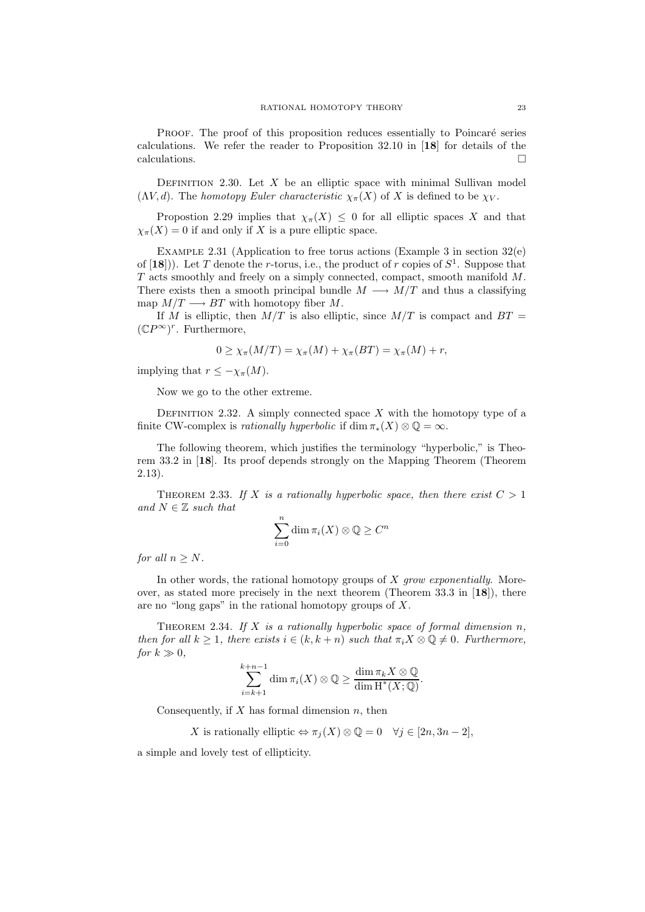PROOF. The proof of this proposition reduces essentially to Poincaré series calculations. We refer the reader to Proposition  $32.10$  in [18] for details of the calculations.  $\Box$ 

DEFINITION 2.30. Let  $X$  be an elliptic space with minimal Sullivan model  $(\Lambda V, d)$ . The homotopy Euler characteristic  $\chi_{\pi}(X)$  of X is defined to be  $\chi_V$ .

Propostion 2.29 implies that  $\chi_{\pi}(X) \leq 0$  for all elliptic spaces X and that  $\chi_{\pi}(X) = 0$  if and only if X is a pure elliptic space.

EXAMPLE 2.31 (Application to free torus actions (Example 3 in section  $32(e)$ ) of  $[18]$ ). Let T denote the r-torus, i.e., the product of r copies of  $S^1$ . Suppose that T acts smoothly and freely on a simply connected, compact, smooth manifold M. There exists then a smooth principal bundle  $M \longrightarrow M/T$  and thus a classifying map  $M/T \longrightarrow BT$  with homotopy fiber M.

If M is elliptic, then  $M/T$  is also elliptic, since  $M/T$  is compact and  $BT =$  $(\mathbb{C}P^{\infty})^r$ . Furthermore,

$$
0 \ge \chi_{\pi}(M/T) = \chi_{\pi}(M) + \chi_{\pi}(BT) = \chi_{\pi}(M) + r,
$$

implying that  $r \leq -\chi_{\pi}(M)$ .

Now we go to the other extreme.

DEFINITION 2.32. A simply connected space X with the homotopy type of a finite CW-complex is *rationally hyperbolic* if  $\dim \pi_*(X) \otimes \mathbb{O} = \infty$ .

The following theorem, which justifies the terminology "hyperbolic," is Theorem 33.2 in [18]. Its proof depends strongly on the Mapping Theorem (Theorem 2.13).

THEOREM 2.33. If X is a rationally hyperbolic space, then there exist  $C > 1$ and  $N \in \mathbb{Z}$  such that

$$
\sum_{i=0}^{n} \dim \pi_i(X) \otimes \mathbb{Q} \geq C^n
$$

for all  $n \geq N$ .

In other words, the rational homotopy groups of  $X$  grow exponentially. Moreover, as stated more precisely in the next theorem (Theorem 33.3 in  $[18]$ ), there are no "long gaps" in the rational homotopy groups of X.

THEOREM 2.34. If X is a rationally hyperbolic space of formal dimension  $n$ , then for all  $k \geq 1$ , there exists  $i \in (k, k+n)$  such that  $\pi_i X \otimes \mathbb{Q} \neq 0$ . Furthermore, for  $k \gg 0$ ,

$$
\sum_{i=k+1}^{k+n-1} \dim \pi_i(X) \otimes \mathbb{Q} \geq \frac{\dim \pi_k X \otimes \mathbb{Q}}{\dim \mathrm{H}^*(X; \mathbb{Q})}.
$$

Consequently, if  $X$  has formal dimension  $n$ , then

X is rationally elliptic  $\Leftrightarrow \pi_i(X) \otimes \mathbb{Q} = 0 \quad \forall j \in [2n, 3n-2],$ 

a simple and lovely test of ellipticity.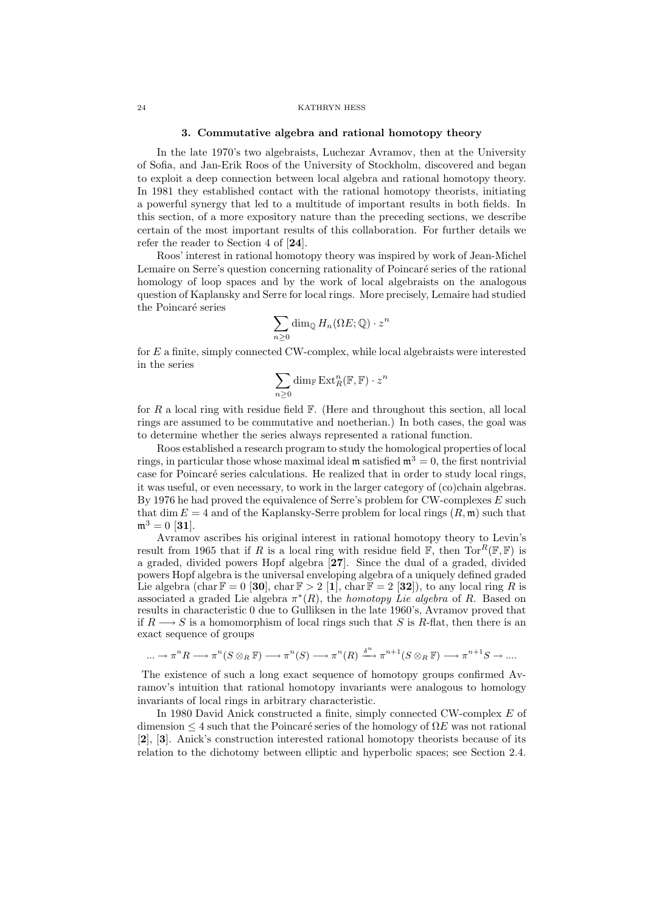#### 3. Commutative algebra and rational homotopy theory

In the late 1970's two algebraists, Luchezar Avramov, then at the University of Sofia, and Jan-Erik Roos of the University of Stockholm, discovered and began to exploit a deep connection between local algebra and rational homotopy theory. In 1981 they established contact with the rational homotopy theorists, initiating a powerful synergy that led to a multitude of important results in both fields. In this section, of a more expository nature than the preceding sections, we describe certain of the most important results of this collaboration. For further details we refer the reader to Section 4 of [24].

Roos' interest in rational homotopy theory was inspired by work of Jean-Michel Lemaire on Serre's question concerning rationality of Poincaré series of the rational homology of loop spaces and by the work of local algebraists on the analogous question of Kaplansky and Serre for local rings. More precisely, Lemaire had studied the Poincaré series

$$
\sum_{n\geq 0} \dim_{\mathbb{Q}} H_n(\Omega E; \mathbb{Q}) \cdot z^n
$$

for E a finite, simply connected CW-complex, while local algebraists were interested in the series

$$
\sum_{n\geq 0} \dim_{\mathbb{F}} \operatorname{Ext}^n_R(\mathbb{F},\mathbb{F})\cdot z^n
$$

for  $R$  a local ring with residue field  $\mathbb F$ . (Here and throughout this section, all local rings are assumed to be commutative and noetherian.) In both cases, the goal was to determine whether the series always represented a rational function.

Roos established a research program to study the homological properties of local rings, in particular those whose maximal ideal m satisfied  $m^3 = 0$ , the first nontrivial case for Poincaré series calculations. He realized that in order to study local rings, it was useful, or even necessary, to work in the larger category of (co)chain algebras. By 1976 he had proved the equivalence of Serre's problem for CW-complexes  $E$  such that dim  $E = 4$  and of the Kaplansky-Serre problem for local rings  $(R, \mathfrak{m})$  such that  $m^3 = 0$  [31].

Avramov ascribes his original interest in rational homotopy theory to Levin's result from 1965 that if R is a local ring with residue field  $\mathbb{F}$ , then  $\text{Tor}^R(\mathbb{F}, \mathbb{F})$  is a graded, divided powers Hopf algebra [27]. Since the dual of a graded, divided powers Hopf algebra is the universal enveloping algebra of a uniquely defined graded Lie algebra (char  $\mathbb{F} = 0$  [30], char  $\mathbb{F} > 2$  [1], char  $\mathbb{F} = 2$  [32]), to any local ring R is associated a graded Lie algebra  $\pi^*(R)$ , the *homotopy Lie algebra* of R. Based on results in characteristic 0 due to Gulliksen in the late 1960's, Avramov proved that if  $R \longrightarrow S$  is a homomorphism of local rings such that S is R-flat, then there is an exact sequence of groups

$$
\ldots \to \pi^n R \longrightarrow \pi^n (S \otimes_R \mathbb{F}) \longrightarrow \pi^n (S) \longrightarrow \pi^n (R) \xrightarrow{\delta^n} \pi^{n+1} (S \otimes_R \mathbb{F}) \longrightarrow \pi^{n+1} S \longrightarrow \ldots
$$

The existence of such a long exact sequence of homotopy groups confirmed Avramov's intuition that rational homotopy invariants were analogous to homology invariants of local rings in arbitrary characteristic.

In 1980 David Anick constructed a finite, simply connected CW-complex E of dimension  $\leq 4$  such that the Poincaré series of the homology of  $\Omega E$  was not rational [2], [3]. Anick's construction interested rational homotopy theorists because of its relation to the dichotomy between elliptic and hyperbolic spaces; see Section 2.4.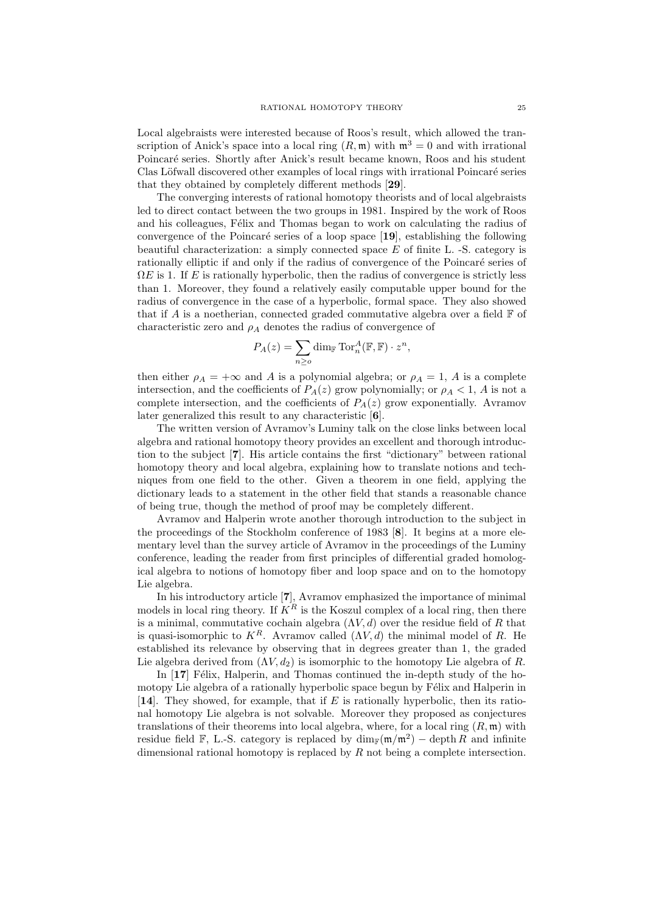Local algebraists were interested because of Roos's result, which allowed the transcription of Anick's space into a local ring  $(R, \mathfrak{m})$  with  $\mathfrak{m}^3 = 0$  and with irrational Poincaré series. Shortly after Anick's result became known, Roos and his student Clas Löfwall discovered other examples of local rings with irrational Poincaré series that they obtained by completely different methods [29].

The converging interests of rational homotopy theorists and of local algebraists led to direct contact between the two groups in 1981. Inspired by the work of Roos and his colleagues, Félix and Thomas began to work on calculating the radius of convergence of the Poincaré series of a loop space  $[19]$ , establishing the following beautiful characterization: a simply connected space E of finite L. -S. category is rationally elliptic if and only if the radius of convergence of the Poincaré series of  $\Omega E$  is 1. If E is rationally hyperbolic, then the radius of convergence is strictly less than 1. Moreover, they found a relatively easily computable upper bound for the radius of convergence in the case of a hyperbolic, formal space. They also showed that if A is a noetherian, connected graded commutative algebra over a field  $\mathbb F$  of characteristic zero and  $\rho_A$  denotes the radius of convergence of

$$
P_A(z) = \sum_{n \ge 0} \dim_{\mathbb{F}} \operatorname{Tor}_n^A(\mathbb{F}, \mathbb{F}) \cdot z^n,
$$

then either  $\rho_A = +\infty$  and A is a polynomial algebra; or  $\rho_A = 1$ , A is a complete intersection, and the coefficients of  $P_A(z)$  grow polynomially; or  $\rho_A < 1$ , A is not a complete intersection, and the coefficients of  $P_A(z)$  grow exponentially. Avramov later generalized this result to any characteristic [6].

The written version of Avramov's Luminy talk on the close links between local algebra and rational homotopy theory provides an excellent and thorough introduction to the subject [7]. His article contains the first "dictionary" between rational homotopy theory and local algebra, explaining how to translate notions and techniques from one field to the other. Given a theorem in one field, applying the dictionary leads to a statement in the other field that stands a reasonable chance of being true, though the method of proof may be completely different.

Avramov and Halperin wrote another thorough introduction to the subject in the proceedings of the Stockholm conference of 1983 [8]. It begins at a more elementary level than the survey article of Avramov in the proceedings of the Luminy conference, leading the reader from first principles of differential graded homological algebra to notions of homotopy fiber and loop space and on to the homotopy Lie algebra.

In his introductory article [7], Avramov emphasized the importance of minimal models in local ring theory. If  $K^R$  is the Koszul complex of a local ring, then there is a minimal, commutative cochain algebra  $(\Lambda V, d)$  over the residue field of R that is quasi-isomorphic to  $K^R$ . Avramov called  $(\Lambda V, d)$  the minimal model of R. He established its relevance by observing that in degrees greater than 1, the graded Lie algebra derived from  $(\Lambda V, d_2)$  is isomorphic to the homotopy Lie algebra of R.

In  $\left[17\right]$  Félix, Halperin, and Thomas continued the in-depth study of the homotopy Lie algebra of a rationally hyperbolic space begun by Félix and Halperin in [14]. They showed, for example, that if  $E$  is rationally hyperbolic, then its rational homotopy Lie algebra is not solvable. Moreover they proposed as conjectures translations of their theorems into local algebra, where, for a local ring  $(R, \mathfrak{m})$  with residue field F, L.-S. category is replaced by  $\dim_{\mathbb{F}}(\mathfrak{m}/\mathfrak{m}^2) - \text{depth } R$  and infinite dimensional rational homotopy is replaced by  $R$  not being a complete intersection.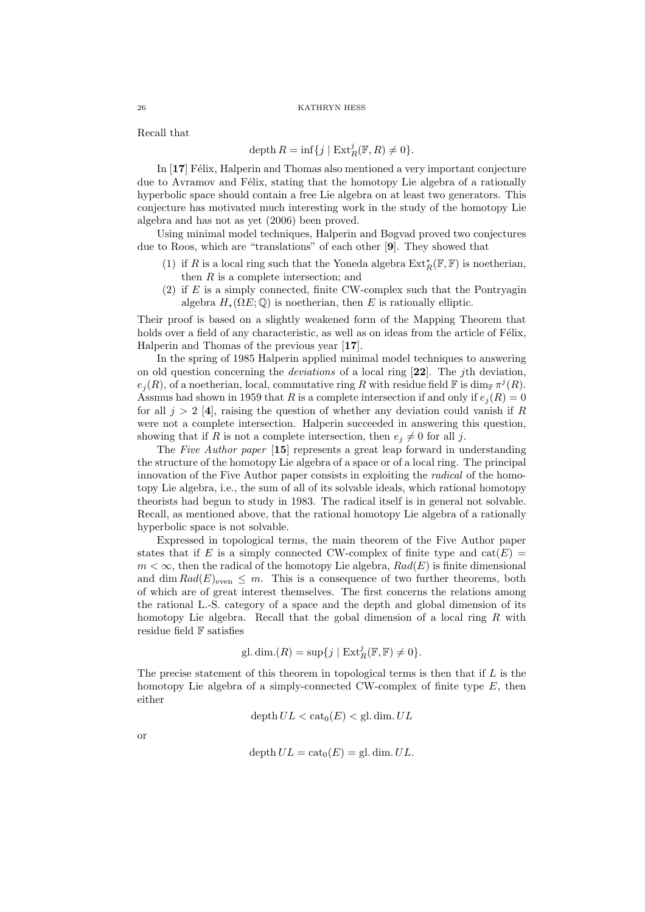Recall that

$$
\operatorname{depth} R = \inf\{j \mid \operatorname{Ext}^j_R(\mathbb{F}, R) \neq 0\}.
$$

In  $[17]$  Félix, Halperin and Thomas also mentioned a very important conjecture due to Avramov and Félix, stating that the homotopy Lie algebra of a rationally hyperbolic space should contain a free Lie algebra on at least two generators. This conjecture has motivated much interesting work in the study of the homotopy Lie algebra and has not as yet (2006) been proved.

Using minimal model techniques, Halperin and Bøgvad proved two conjectures due to Roos, which are "translations" of each other [9]. They showed that

- (1) if  $R$  is a local ring such that the Yoneda algebra  $\mathrm{Ext}^*_R(\mathbb{F}, \mathbb{F})$  is noetherian, then  $R$  is a complete intersection; and
- $(2)$  if E is a simply connected, finite CW-complex such that the Pontryagin algebra  $H_*(\Omega E; \mathbb{Q})$  is noetherian, then E is rationally elliptic.

Their proof is based on a slightly weakened form of the Mapping Theorem that holds over a field of any characteristic, as well as on ideas from the article of Félix, Halperin and Thomas of the previous year [17].

In the spring of 1985 Halperin applied minimal model techniques to answering on old question concerning the deviations of a local ring [22]. The jth deviation,  $e_j(R)$ , of a noetherian, local, commutative ring R with residue field  $\mathbb F$  is  $\dim_{\mathbb F} \pi^j(R)$ . Assmus had shown in 1959 that R is a complete intersection if and only if  $e_i(R) = 0$ for all  $j > 2$  [4], raising the question of whether any deviation could vanish if R were not a complete intersection. Halperin succeeded in answering this question, showing that if R is not a complete intersection, then  $e_i \neq 0$  for all j.

The Five Author paper [15] represents a great leap forward in understanding the structure of the homotopy Lie algebra of a space or of a local ring. The principal innovation of the Five Author paper consists in exploiting the radical of the homotopy Lie algebra, i.e., the sum of all of its solvable ideals, which rational homotopy theorists had begun to study in 1983. The radical itself is in general not solvable. Recall, as mentioned above, that the rational homotopy Lie algebra of a rationally hyperbolic space is not solvable.

Expressed in topological terms, the main theorem of the Five Author paper states that if E is a simply connected CW-complex of finite type and  $cat(E)$  $m < \infty$ , then the radical of the homotopy Lie algebra,  $Rad(E)$  is finite dimensional and dim  $Rad(E)_{even} \leq m$ . This is a consequence of two further theorems, both of which are of great interest themselves. The first concerns the relations among the rational L.-S. category of a space and the depth and global dimension of its homotopy Lie algebra. Recall that the gobal dimension of a local ring  $R$  with residue field F satisfies

gl.dim.(R) = sup{
$$
j | Ext_R^j(\mathbb{F}, \mathbb{F}) \neq 0
$$
 }.

The precise statement of this theorem in topological terms is then that if  $L$  is the homotopy Lie algebra of a simply-connected CW-complex of finite type  $E$ , then either

$$
\operatorname{depth} UL < \operatorname{cat}_0(E) < \operatorname{gl.dim} . \, UL
$$

or

$$
\operatorname{depth} UL = \operatorname{cat}_0(E) = \operatorname{gl.dim} . UL.
$$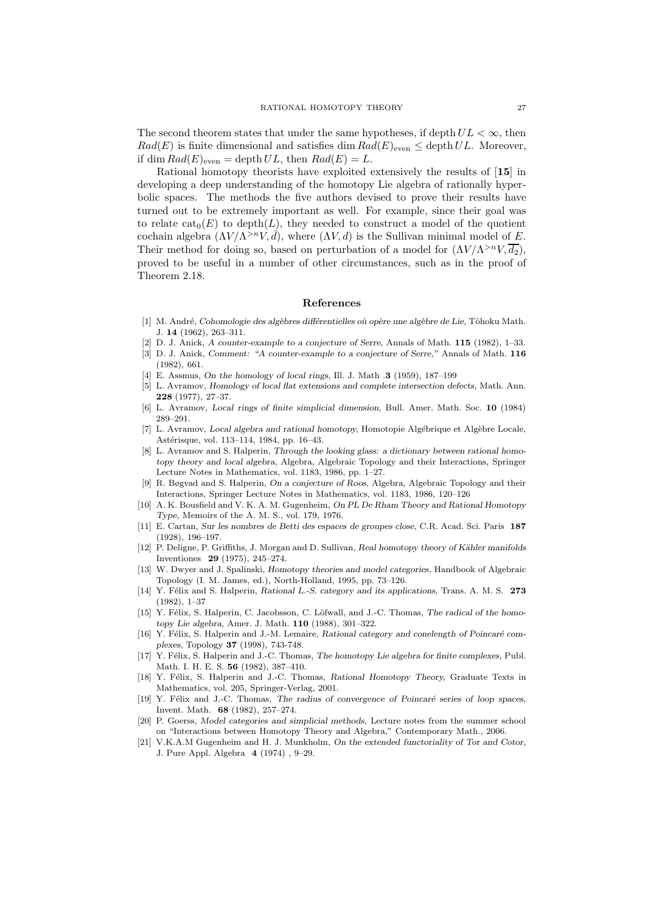The second theorem states that under the same hypotheses, if depth  $UL < \infty$ , then  $Rad(E)$  is finite dimensional and satisfies dim  $Rad(E)_{even} \leq$  depth UL. Moreover, if dim  $Rad(E)_{even} = \operatorname{depth} UL$ , then  $Rad(E) = L$ .

Rational homotopy theorists have exploited extensively the results of [15] in developing a deep understanding of the homotopy Lie algebra of rationally hyperbolic spaces. The methods the five authors devised to prove their results have turned out to be extremely important as well. For example, since their goal was to relate  $cat_0(E)$  to depth(L), they needed to construct a model of the quotient cochain algebra  $(\Lambda V/\Lambda^{>n}V,\bar{d})$ , where  $(\Lambda V, d)$  is the Sullivan minimal model of E. Their method for doing so, based on perturbation of a model for  $(\Lambda V / \Lambda^{>n} V, \overline{d_2})$ , proved to be useful in a number of other circumstances, such as in the proof of Theorem 2.18.

# References

- [1] M. André, Cohomologie des algèbres différentielles où opère une algèbre de Lie, Tôhoku Math. J. 14 (1962), 263–311.
- [2] D. J. Anick, A counter-example to a conjecture of Serre, Annals of Math. 115 (1982), 1–33.
- [3] D. J. Anick, Comment: "A counter-example to a conjecture of Serre," Annals of Math. 116 (1982), 661.
- [4] E. Assmus, On the homology of local rings, Ill. J. Math .3 (1959), 187–199
- [5] L. Avramov, Homology of local flat extensions and complete intersection defects, Math. Ann. 228 (1977), 27–37.
- [6] L. Avramov, Local rings of finite simplicial dimension, Bull. Amer. Math. Soc. 10 (1984) 289–291.
- [7] L. Avramov, Local algebra and rational homotopy, Homotopie Algébrique et Algèbre Locale, Astérisque, vol. 113–114, 1984, pp. 16–43.
- [8] L. Avramov and S. Halperin, Through the looking glass: a dictionary between rational homotopy theory and local algebra, Algebra, Algebraic Topology and their Interactions, Springer Lecture Notes in Mathematics, vol. 1183, 1986, pp. 1–27.
- [9] R. Bøgvad and S. Halperin, On a conjecture of Roos, Algebra, Algebraic Topology and their Interactions, Springer Lecture Notes in Mathematics, vol. 1183, 1986, 120–126
- [10] A. K. Bousfield and V. K. A. M. Gugenheim, On PL De Rham Theory and Rational Homotopy Type, Memoirs of the A. M. S., vol. 179, 1976.
- [11] E. Cartan, Sur les nombres de Betti des espaces de groupes close, C.R. Acad. Sci. Paris 187 (1928), 196–197.
- [12] P. Deligne, P. Griffiths, J. Morgan and D. Sullivan, Real homotopy theory of Kähler manifolds Inventiones 29 (1975), 245–274.
- [13] W. Dwyer and J. Spalinski, Homotopy theories and model categories, Handbook of Algebraic Topology (I. M. James, ed.), North-Holland, 1995, pp. 73–126.
- [14] Y. Félix and S. Halperin, Rational L.-S. category and its applications, Trans. A. M. S. 273 (1982), 1–37
- [15] Y. Félix, S. Halperin, C. Jacobsson, C. Löfwall, and J.-C. Thomas, The radical of the homotopy Lie algebra, Amer. J. Math. 110 (1988), 301–322.
- [16] Y. Félix, S. Halperin and J.-M. Lemaire, Rational category and conelength of Poincaré complexes, Topology 37 (1998), 743-748.
- [17] Y. Félix, S. Halperin and J.-C. Thomas, The homotopy Lie algebra for finite complexes, Publ. Math. I. H. E. S. 56 (1982), 387–410.
- [18] Y. Félix, S. Halperin and J.-C. Thomas, Rational Homotopy Theory, Graduate Texts in Mathematics, vol. 205, Springer-Verlag, 2001.
- [19] Y. Félix and J.-C. Thomas, The radius of convergence of Poincaré series of loop spaces, Invent. Math. 68 (1982), 257–274.
- [20] P. Goerss, Model categories and simplicial methods, Lecture notes from the summer school on "Interactions between Homotopy Theory and Algebra," Contemporary Math., 2006.
- [21] V.K.A.M Gugenheim and H. J. Munkholm, On the extended functoriality of Tor and Cotor, J. Pure Appl. Algebra 4 (1974) , 9–29.